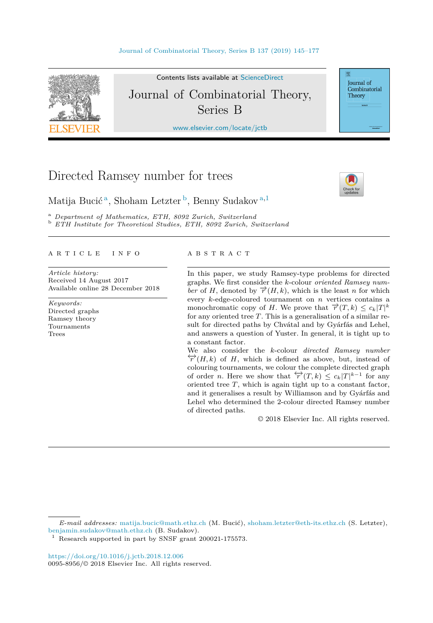

Contents lists available at [ScienceDirect](http://www.ScienceDirect.com/) Journal of Combinatorial Theory, Series B

[www.elsevier.com/locate/jctb](http://www.elsevier.com/locate/jctb)

# Directed Ramsey number for trees



Journal of Combinatorial Theory

Matija Bucić <sup>a</sup>, Shoham Letzter <sup>b</sup>, Benny Sudakov <sup>a</sup>*,*<sup>1</sup>

<sup>a</sup> Department of Mathematics, ETH, 8092 Zurich, Switzerland<br><sup>b</sup> ETH Institute for Theoretical Studies, ETH, 8092 Zurich, Switzerland

#### A R T I C L E I N F O A B S T R A C T

*Article history:* Received 14 August 2017 Available online 28 December 2018

*Keywords:* Directed graphs Ramsey theory Tournaments Trees

In this paper, we study Ramsey-type problems for directed graphs. We first consider the *k*-colour *oriented Ramsey number* of *H*, denoted by  $\overrightarrow{r}(H, k)$ , which is the least *n* for which every *k*-edge-coloured tournament on *n* vertices contains a monochromatic copy of *H*. We prove that  $\overrightarrow{r}(T, k) \leq c_k |T|^k$ for any oriented tree *T*. This is a generalisation of a similar result for directed paths by Chvátal and by Gyárfás and Lehel, and answers a question of Yuster. In general, it is tight up to a constant factor.

We also consider the *k*-colour *directed Ramsey number*  $\overleftrightarrow{r}(H, k)$  of *H*, which is defined as above, but, instead of colouring tournaments, we colour the complete directed graph of order *n*. Here we show that  $\overleftrightarrow{r}(T, k) \leq c_k |T|^{k-1}$  for any oriented tree *T*, which is again tight up to a constant factor, and it generalises a result by Williamson and by Gyárfás and Lehel who determined the 2-colour directed Ramsey number of directed paths.

© 2018 Elsevier Inc. All rights reserved.

*E-mail addresses:* [matija.bucic@math.ethz.ch](mailto:matija.bucic@math.ethz.ch) (M. Bucić), [shoham.letzter@eth-its.ethz.ch](mailto:shoham.letzter@eth-its.ethz.ch) (S. Letzter), [benjamin.sudakov@math.ethz.ch](mailto:benjamin.sudakov@math.ethz.ch) (B. Sudakov).

Research supported in part by SNSF grant 200021-175573.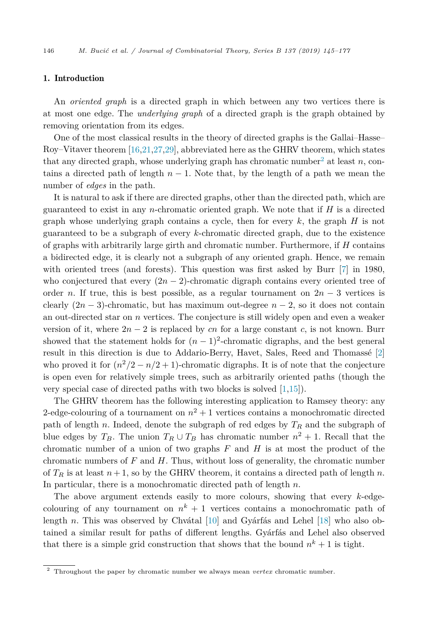### 1. Introduction

An *oriented graph* is a directed graph in which between any two vertices there is at most one edge. The *underlying graph* of a directed graph is the graph obtained by removing orientation from its edges.

One of the most classical results in the theory of directed graphs is the Gallai–Hasse– Roy–Vitaver theorem [\[16,21,27,29\]](#page-32-0), abbreviated here as the GHRV theorem, which states that any directed graph, whose underlying graph has chromatic number<sup>2</sup> at least  $n$ , contains a directed path of length  $n-1$ . Note that, by the length of a path we mean the number of *edges* in the path.

It is natural to ask if there are directed graphs, other than the directed path, which are guaranteed to exist in any *n*-chromatic oriented graph. We note that if *H* is a directed graph whose underlying graph contains a cycle, then for every *k*, the graph *H* is not guaranteed to be a subgraph of every *k*-chromatic directed graph, due to the existence of graphs with arbitrarily large girth and chromatic number. Furthermore, if *H* contains a bidirected edge, it is clearly not a subgraph of any oriented graph. Hence, we remain with oriented trees (and forests). This question was first asked by Burr [\[7\]](#page-31-0) in 1980, who conjectured that every  $(2n - 2)$ -chromatic digraph contains every oriented tree of order *n*. If true, this is best possible, as a regular tournament on  $2n-3$  vertices is clearly  $(2n-3)$ -chromatic, but has maximum out-degree  $n-2$ , so it does not contain an out-directed star on *n* vertices. The conjecture is still widely open and even a weaker version of it, where  $2n - 2$  is replaced by *cn* for a large constant *c*, is not known. Burr showed that the statement holds for  $(n-1)^2$ -chromatic digraphs, and the best general result in this direction is due to Addario-Berry, Havet, Sales, Reed and Thomassé [\[2\]](#page-31-0) who proved it for  $(n^2/2 - n/2 + 1)$ -chromatic digraphs. It is of note that the conjecture is open even for relatively simple trees, such as arbitrarily oriented paths (though the very special case of directed paths with two blocks is solved [\[1](#page-31-0)[,15\]](#page-32-0)).

The GHRV theorem has the following interesting application to Ramsey theory: any 2-edge-colouring of a tournament on  $n^2 + 1$  vertices contains a monochromatic directed path of length *n*. Indeed, denote the subgraph of red edges by *T<sup>R</sup>* and the subgraph of blue edges by  $T_B$ . The union  $T_R \cup T_B$  has chromatic number  $n^2 + 1$ . Recall that the chromatic number of a union of two graphs *F* and *H* is at most the product of the chromatic numbers of *F* and *H*. Thus, without loss of generality, the chromatic number of  $T_R$  is at least  $n+1$ , so by the GHRV theorem, it contains a directed path of length *n*. In particular, there is a monochromatic directed path of length *n*.

The above argument extends easily to more colours, showing that every *k*-edgecolouring of any tournament on  $n^k + 1$  vertices contains a monochromatic path of length *n*. This was observed by Chvátal [\[10\]](#page-32-0) and Gyárfás and Lehel [\[18\]](#page-32-0) who also obtained a similar result for paths of different lengths. Gyárfás and Lehel also observed that there is a simple grid construction that shows that the bound  $n^k + 1$  is tight.

<sup>2</sup> Throughout the paper by chromatic number we always mean *vertex* chromatic number.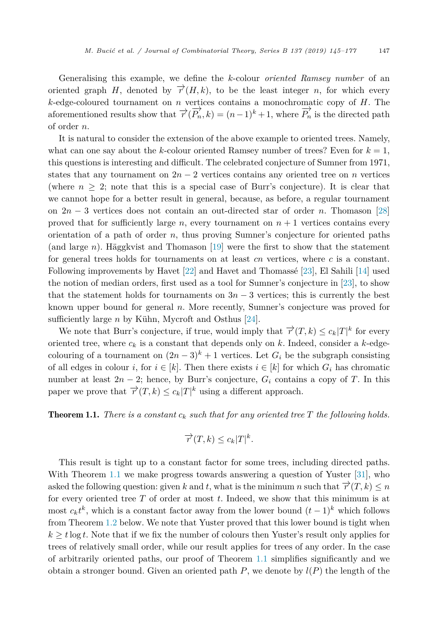<span id="page-2-0"></span>Generalising this example, we define the *k*-colour *oriented Ramsey number* of an oriented graph *H*, denoted by  $\overrightarrow{r}(H, k)$ , to be the least integer *n*, for which every *k*-edge-coloured tournament on *n* vertices contains a monochromatic copy of *H*. The aforementioned results show that  $\overrightarrow{r}(\overrightarrow{P_n}, k) = (n-1)^k + 1$ , where  $\overrightarrow{P_n}$  is the directed path of order *n*.

It is natural to consider the extension of the above example to oriented trees. Namely, what can one say about the *k*-colour oriented Ramsey number of trees? Even for  $k = 1$ , this questions is interesting and difficult. The celebrated conjecture of Sumner from 1971, states that any tournament on  $2n - 2$  vertices contains any oriented tree on *n* vertices (where  $n > 2$ ; note that this is a special case of Burr's conjecture). It is clear that we cannot hope for a better result in general, because, as before, a regular tournament on 2*n* − 3 vertices does not contain an out-directed star of order *n*. Thomason [\[28\]](#page-32-0) proved that for sufficiently large  $n$ , every tournament on  $n + 1$  vertices contains every orientation of a path of order *n*, thus proving Sumner's conjecture for oriented paths (and large *n*). Häggkvist and Thomason [\[19\]](#page-32-0) were the first to show that the statement for general trees holds for tournaments on at least *cn* vertices, where *c* is a constant. Following improvements by Havet [\[22\]](#page-32-0) and Havet and Thomassé [\[23\]](#page-32-0), El Sahili [\[14\]](#page-32-0) used the notion of median orders, first used as a tool for Sumner's conjecture in [\[23\]](#page-32-0), to show that the statement holds for tournaments on  $3n-3$  vertices; this is currently the best known upper bound for general *n*. More recently, Sumner's conjecture was proved for sufficiently large *n* by Kühn, Mycroft and Osthus [\[24\]](#page-32-0).

We note that Burr's conjecture, if true, would imply that  $\overrightarrow{r}(T, k) \leq c_k |T|^k$  for every oriented tree, where  $c_k$  is a constant that depends only on  $k$ . Indeed, consider a  $k$ -edgecolouring of a tournament on  $(2n-3)^k + 1$  vertices. Let  $G_i$  be the subgraph consisting of all edges in colour *i*, for  $i \in [k]$ . Then there exists  $i \in [k]$  for which  $G_i$  has chromatic number at least  $2n - 2$ ; hence, by Burr's conjecture,  $G_i$  contains a copy of *T*. In this paper we prove that  $\overrightarrow{r}(T, k) \leq c_k |T|^k$  using a different approach.

**Theorem 1.1.** *There is* a *constant*  $c_k$  *such that for any oriented tree*  $T$  *the following holds.* 

$$
\overrightarrow{r}(T,k) \leq c_k |T|^k.
$$

This result is tight up to a constant factor for some trees, including directed paths. With Theorem 1.1 we make progress towards answering a question of Yuster [\[31\]](#page-32-0), who asked the following question: given *k* and *t*, what is the minimum *n* such that  $\overrightarrow{r}(T, k) \leq n$ for every oriented tree *T* of order at most *t*. Indeed, we show that this minimum is at most  $c_k t^k$ , which is a constant factor away from the lower bound  $(t-1)^k$  which follows from Theorem [1.2](#page-3-0) below. We note that Yuster proved that this lower bound is tight when  $k \geq t \log t$ . Note that if we fix the number of colours then Yuster's result only applies for trees of relatively small order, while our result applies for trees of any order. In the case of arbitrarily oriented paths, our proof of Theorem 1.1 simplifies significantly and we obtain a stronger bound. Given an oriented path  $P$ , we denote by  $l(P)$  the length of the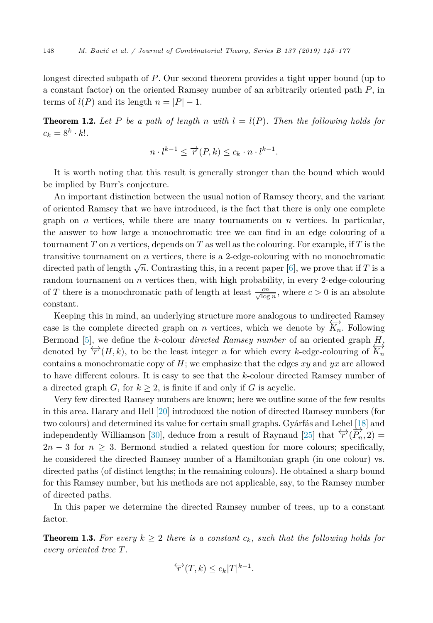<span id="page-3-0"></span>longest directed subpath of *P*. Our second theorem provides a tight upper bound (up to a constant factor) on the oriented Ramsey number of an arbitrarily oriented path *P*, in terms of  $l(P)$  and its length  $n = |P| - 1$ .

**Theorem 1.2.** Let P be a path of length n with  $l = l(P)$ . Then the following holds for  $c_k = 8^k \cdot k!$ .

$$
n \cdot l^{k-1} \le \overrightarrow{r}(P,k) \le c_k \cdot n \cdot l^{k-1}.
$$

It is worth noting that this result is generally stronger than the bound which would be implied by Burr's conjecture.

An important distinction between the usual notion of Ramsey theory, and the variant of oriented Ramsey that we have introduced, is the fact that there is only one complete graph on *n* vertices, while there are many tournaments on *n* vertices. In particular, the answer to how large a monochromatic tree we can find in an edge colouring of a tournament  $T$  on  $n$  vertices, depends on  $T$  as well as the colouring. For example, if  $T$  is the transitive tournament on *n* vertices, there is a 2-edge-colouring with no monochromatic directed path of length  $\sqrt{n}$ . Contrasting this, in a recent paper [\[6\]](#page-31-0), we prove that if *T* is a random tournament on *n* vertices then, with high probability, in every 2-edge-colouring of *T* there is a monochromatic path of length at least  $\frac{cn}{\sqrt{\log n}}$ , where  $c > 0$  is an absolute constant.

Keeping this in mind, an underlying structure more analogous to undirected Ramsey case is the complete directed graph on *n* vertices, which we denote by  $\overleftrightarrow{K_n}$ . Following Bermond [\[5\]](#page-31-0), we define the *k*-colour *directed Ramsey number* of an oriented graph *H*, denoted by  $\overleftrightarrow{r}(H, k)$ , to be the least integer *n* for which every *k*-edge-colouring of  $\overleftrightarrow{K_n}$ contains a monochromatic copy of *H*; we emphasize that the edges *xy* and *yx* are allowed to have different colours. It is easy to see that the *k*-colour directed Ramsey number of a directed graph *G*, for  $k \geq 2$ , is finite if and only if *G* is acyclic.

Very few directed Ramsey numbers are known; here we outline some of the few results in this area. Harary and Hell [\[20\]](#page-32-0) introduced the notion of directed Ramsey numbers (for two colours) and determined its value for certain small graphs. Gyárfás and Lehel [\[18\]](#page-32-0) and independently Williamson [\[30\]](#page-32-0), deduce from a result of Raynaud [\[25\]](#page-32-0) that  $\overleftrightarrow{r}(\overrightarrow{P_n}, 2)$  =  $2n-3$  for  $n \geq 3$ . Bermond studied a related question for more colours; specifically, he considered the directed Ramsey number of a Hamiltonian graph (in one colour) vs. directed paths (of distinct lengths; in the remaining colours). He obtained a sharp bound for this Ramsey number, but his methods are not applicable, say, to the Ramsey number of directed paths.

In this paper we determine the directed Ramsey number of trees, up to a constant factor.

**Theorem 1.3.** For every  $k \geq 2$  there is a constant  $c_k$ , such that the following holds for *every oriented tree T.*

$$
\overleftrightarrow{r}(T,k) \leq c_k |T|^{k-1}.
$$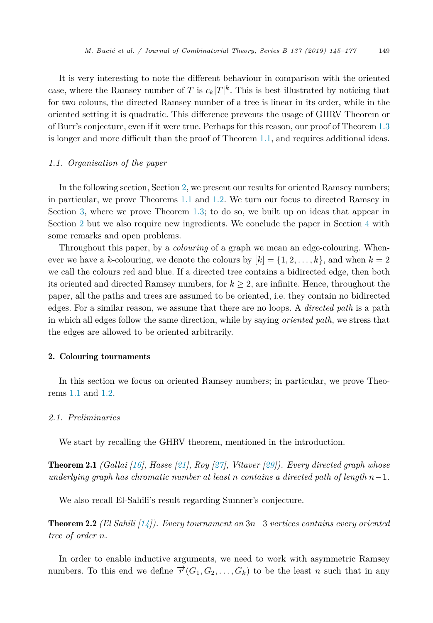<span id="page-4-0"></span>It is very interesting to note the different behaviour in comparison with the oriented case, where the Ramsey number of *T* is  $c_k|T|^k$ . This is best illustrated by noticing that for two colours, the directed Ramsey number of a tree is linear in its order, while in the oriented setting it is quadratic. This difference prevents the usage of GHRV Theorem or of Burr's conjecture, even if it were true. Perhaps for this reason, our proof of Theorem [1.3](#page-3-0) is longer and more difficult than the proof of Theorem [1.1,](#page-2-0) and requires additional ideas.

# *1.1. Organisation of the paper*

In the following section, Section 2, we present our results for oriented Ramsey numbers; in particular, we prove Theorems [1.1](#page-2-0) and [1.2.](#page-3-0) We turn our focus to directed Ramsey in Section [3,](#page-10-0) where we prove Theorem [1.3;](#page-3-0) to do so, we built up on ideas that appear in Section 2 but we also require new ingredients. We conclude the paper in Section [4](#page-30-0) with some remarks and open problems.

Throughout this paper, by a *colouring* of a graph we mean an edge-colouring. Whenever we have a *k*-colouring, we denote the colours by  $[k] = \{1, 2, \ldots, k\}$ , and when  $k = 2$ we call the colours red and blue. If a directed tree contains a bidirected edge, then both its oriented and directed Ramsey numbers, for  $k \geq 2$ , are infinite. Hence, throughout the paper, all the paths and trees are assumed to be oriented, i.e. they contain no bidirected edges. For a similar reason, we assume that there are no loops. A *directed path* is a path in which all edges follow the same direction, while by saying *oriented path*, we stress that the edges are allowed to be oriented arbitrarily.

#### 2. Colouring tournaments

In this section we focus on oriented Ramsey numbers; in particular, we prove Theorems [1.1](#page-2-0) and [1.2.](#page-3-0)

## *2.1. Preliminaries*

We start by recalling the GHRV theorem, mentioned in the introduction.

Theorem 2.1 *(Gallai [\[16\]](#page-32-0), Hasse [\[21\]](#page-32-0), Roy [\[27\]](#page-32-0), Vitaver [\[29\]](#page-32-0)). Every directed graph whose underlying graph has chromatic number at least n contains a directed path of length n*−1*.*

We also recall El-Sahili's result regarding Sumner's conjecture.

Theorem 2.2 *(El Sahili [\[14\]](#page-32-0)). Every tournament on* 3*n*−3 *vertices contains every oriented tree of order n.*

In order to enable inductive arguments, we need to work with asymmetric Ramsey numbers. To this end we define  $\overrightarrow{r}(G_1, G_2, \ldots, G_k)$  to be the least *n* such that in any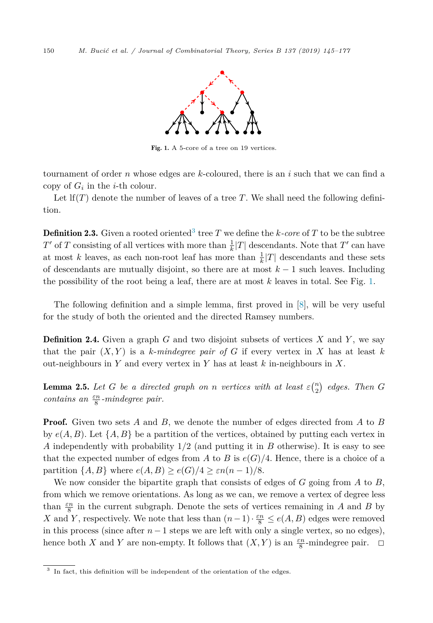<span id="page-5-0"></span>

Fig. 1. A 5-core of a tree on 19 vertices.

tournament of order *n* whose edges are *k*-coloured, there is an *i* such that we can find a copy of  $G_i$  in the *i*-th colour.

Let  $\text{If}(T)$  denote the number of leaves of a tree T. We shall need the following definition.

**Definition 2.3.** Given a rooted oriented<sup>3</sup> tree *T* we define the *k-core* of *T* to be the subtree *T*' of *T* consisting of all vertices with more than  $\frac{1}{k}|T|$  descendants. Note that *T*' can have at most *k* leaves, as each non-root leaf has more than  $\frac{1}{k}|T|$  descendants and these sets of descendants are mutually disjoint, so there are at most *k* − 1 such leaves. Including the possibility of the root being a leaf, there are at most *k* leaves in total. See Fig. 1.

The following definition and a simple lemma, first proved in [\[8\]](#page-31-0), will be very useful for the study of both the oriented and the directed Ramsey numbers.

Definition 2.4. Given a graph *G* and two disjoint subsets of vertices *X* and *Y* , we say that the pair  $(X, Y)$  is a *k*-*mindegree pair of G* if every vertex in *X* has at least *k* out-neighbours in *Y* and every vertex in *Y* has at least *k* in-neighbours in *X*.

**Lemma 2.5.** Let G be a directed graph on *n* vertices with at least  $\varepsilon \binom{n}{2}$  edges. Then G *contains an εn* <sup>8</sup> *-mindegree pair.*

Proof. Given two sets *A* and *B*, we denote the number of edges directed from *A* to *B* by  $e(A, B)$ . Let  $\{A, B\}$  be a partition of the vertices, obtained by putting each vertex in *A* independently with probability 1*/*2 (and putting it in *B* otherwise). It is easy to see that the expected number of edges from *A* to *B* is  $e(G)/4$ . Hence, there is a choice of a partition  $\{A, B\}$  where  $e(A, B) \geq e(G)/4 \geq \varepsilon n(n-1)/8$ .

We now consider the bipartite graph that consists of edges of *G* going from *A* to *B*, from which we remove orientations. As long as we can, we remove a vertex of degree less than  $\frac{\varepsilon n}{8}$  in the current subgraph. Denote the sets of vertices remaining in *A* and *B* by *X* and *Y*, respectively. We note that less than  $(n-1) \cdot \frac{\varepsilon n}{8} \le e(A, B)$  edges were removed in this process (since after  $n-1$  steps we are left with only a single vertex, so no edges), hence both *X* and *Y* are non-empty. It follows that  $(X, Y)$  is an  $\frac{\varepsilon n}{8}$ -mindegree pair.  $\Box$ 

<sup>&</sup>lt;sup>3</sup> In fact, this definition will be independent of the orientation of the edges.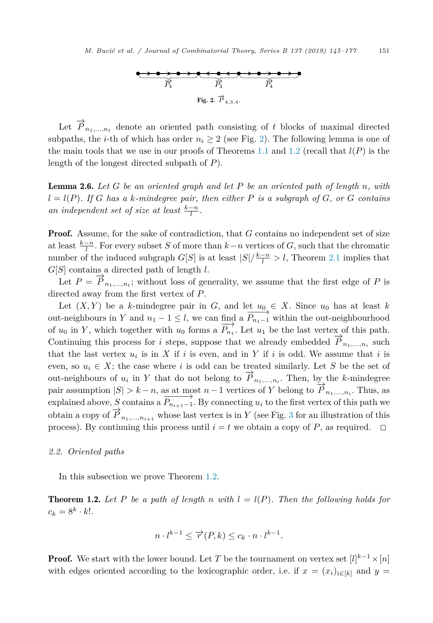

<span id="page-6-0"></span>Let  $\overrightarrow{P}_{n_1,\dots,n_t}$  denote an oriented path consisting of *t* blocks of maximal directed subpaths, the *i*-th of which has order  $n_i \geq 2$  (see Fig. 2). The following lemma is one of the main tools that we use in our proofs of Theorems [1.1](#page-2-0) and [1.2](#page-3-0) (recall that  $l(P)$  is the length of the longest directed subpath of *P*).

Lemma 2.6. *Let G be an oriented graph and let P be an oriented path of length n, with*  $l = l(P)$ . If G has a k-mindegree pair, then either P is a subgraph of G, or G contains *an independent set of size at least*  $\frac{k-n}{l}$ .

Proof. Assume, for the sake of contradiction, that *G* contains no independent set of size at least  $\frac{k-n}{l}$ . For every subset *S* of more than  $k-n$  vertices of *G*, such that the chromatic number of the induced subgraph  $G[S]$  is at least  $|S|/\frac{k-n}{l} > l$ , Theorem [2.1](#page-4-0) implies that *G*[*S*] contains a directed path of length *l*.

Let  $P = \overrightarrow{P}_{n_1,\dots,n_t}$ ; without loss of generality, we assume that the first edge of P is directed away from the first vertex of *P*.

Let  $(X, Y)$  be a *k*-mindegree pair in *G*, and let  $u_0 \in X$ . Since  $u_0$  has at least *k* out-neighbours in *Y* and  $n_1 - 1 \leq l$ , we can find a  $\overrightarrow{P_{n_1-1}}$  within the out-neighbourhood of  $u_0$  in *Y*, which together with  $u_0$  forms a  $\overrightarrow{P_{n_1}}$ . Let  $u_1$  be the last vertex of this path. Continuing this process for *i* steps, suppose that we already embedded  $\overrightarrow{P}_{n_1,\dots,n_i}$  such that the last vertex  $u_i$  is in  $X$  if  $i$  is even, and in  $Y$  if  $i$  is odd. We assume that  $i$  is even, so  $u_i \in X$ ; the case where *i* is odd can be treated similarly. Let *S* be the set of out-neighbours of  $u_i$  in  $Y$  that do not belong to  $\overrightarrow{P}_{n_1,\dots,n_i}$ . Then, by the *k*-mindegree pair assumption  $|S| > k - n$ , as at most  $n - 1$  vertices of *Y* belong to  $\overrightarrow{P}_{n_1,\dots,n_i}$ . Thus, as explained above, *S* contains a  $\overrightarrow{P_{n_{i+1}-1}}$ . By connecting  $u_i$  to the first vertex of this path we obtain a copy of  $\overrightarrow{P}_{n_1,...,n_{i+1}}$  whose last vertex is in *Y* (see Fig. [3](#page-7-0) for an illustration of this process). By continuing this process until  $i = t$  we obtain a copy of P, as required.  $\Box$ 

#### *2.2. Oriented paths*

In this subsection we prove Theorem [1.2.](#page-3-0)

**Theorem 1.2.** Let P be a path of length n with  $l = l(P)$ . Then the following holds for  $c_k = 8^k \cdot k!$ .

$$
n \cdot l^{k-1} \le \overrightarrow{r}(P,k) \le c_k \cdot n \cdot l^{k-1}.
$$

**Proof.** We start with the lower bound. Let *T* be the tournament on vertex set  $[l]^{k-1} \times [n]$ with edges oriented according to the lexicographic order, i.e. if  $x = (x_i)_{i \in [k]}$  and  $y =$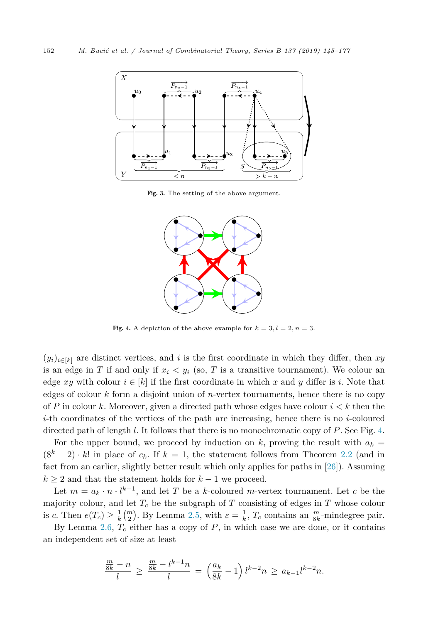<span id="page-7-0"></span>

Fig. 3. The setting of the above argument.



Fig. 4. A depiction of the above example for  $k = 3, l = 2, n = 3$ .

 $(y_i)_{i\in[k]}$  are distinct vertices, and *i* is the first coordinate in which they differ, then *xy* is an edge in *T* if and only if  $x_i \, \langle y_i \rangle$  (so, *T* is a transitive tournament). We colour an edge *xy* with colour  $i \in [k]$  if the first coordinate in which *x* and *y* differ is *i*. Note that edges of colour *k* form a disjoint union of *n*-vertex tournaments, hence there is no copy of *P* in colour *k*. Moreover, given a directed path whose edges have colour  $i < k$  then the *i*-th coordinates of the vertices of the path are increasing, hence there is no *i*-coloured directed path of length *l*. It follows that there is no monochromatic copy of *P*. See Fig. 4.

For the upper bound, we proceed by induction on k, proving the result with  $a_k =$  $(8<sup>k</sup> - 2) \cdot k!$  in place of  $c_k$ . If  $k = 1$ , the statement follows from Theorem [2.2](#page-4-0) (and in fact from an earlier, slightly better result which only applies for paths in [\[26\]](#page-32-0)). Assuming  $k \geq 2$  and that the statement holds for  $k-1$  we proceed.

Let  $m = a_k \cdot n \cdot l^{k-1}$ , and let *T* be a *k*-coloured *m*-vertex tournament. Let *c* be the majority colour, and let  $T_c$  be the subgraph of  $T$  consisting of edges in  $T$  whose colour is *c*. Then  $e(T_c) \geq \frac{1}{k} {m \choose 2}$ . By Lemma [2.5,](#page-5-0) with  $\varepsilon = \frac{1}{k}$ ,  $T_c$  contains an  $\frac{m}{8k}$ -mindegree pair.

By Lemma [2.6,](#page-6-0)  $T_c$  either has a copy of  $P$ , in which case we are done, or it contains an independent set of size at least

$$
\frac{\frac{m}{8k} - n}{l} \ge \frac{\frac{m}{8k} - l^{k-1}n}{l} = \left(\frac{a_k}{8k} - 1\right)l^{k-2}n \ge a_{k-1}l^{k-2}n.
$$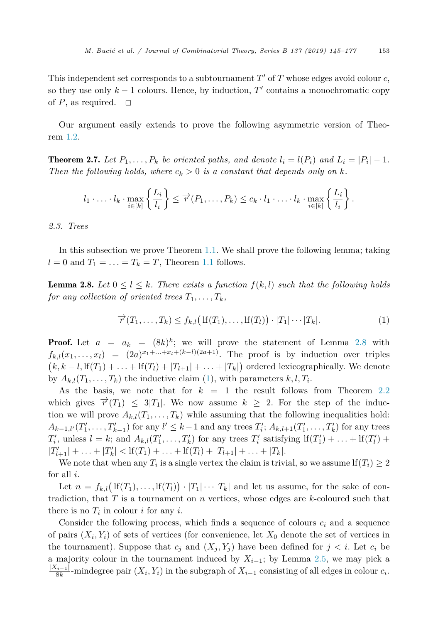This independent set corresponds to a subtournament *T'* of *T* whose edges avoid colour *c*, so they use only  $k-1$  colours. Hence, by induction,  $T'$  contains a monochromatic copy of  $P$ , as required.  $\Box$ 

Our argument easily extends to prove the following asymmetric version of Theorem [1.2.](#page-3-0)

**Theorem 2.7.** Let  $P_1, \ldots, P_k$  be oriented paths, and denote  $l_i = l(P_i)$  and  $L_i = |P_i| - 1$ . *Then the following holds*, *where*  $c_k > 0$  *is a constant that depends only on k*.

$$
l_1 \cdot \ldots \cdot l_k \cdot \max_{i \in [k]} \left\{ \frac{L_i}{l_i} \right\} \leq \overrightarrow{r}(P_1, \ldots, P_k) \leq c_k \cdot l_1 \cdot \ldots \cdot l_k \cdot \max_{i \in [k]} \left\{ \frac{L_i}{l_i} \right\}.
$$

*2.3. Trees*

In this subsection we prove Theorem [1.1.](#page-2-0) We shall prove the following lemma; taking  $l = 0$  and  $T_1 = \ldots = T_k = T$ , Theorem [1.1](#page-2-0) follows.

**Lemma 2.8.** Let  $0 \leq l \leq k$ . There exists a function  $f(k, l)$  such that the following holds *for any collection of oriented trees*  $T_1, \ldots, T_k$ *,* 

$$
\overrightarrow{r}(T_1,\ldots,T_k) \le f_{k,l} \big( \operatorname{lf}(T_1),\ldots,\operatorname{lf}(T_l) \big) \cdot |T_1| \cdots |T_k|. \tag{1}
$$

**Proof.** Let  $a = a_k = (8k)^k$ ; we will prove the statement of Lemma 2.8 with  $f_{k,l}(x_1,\ldots,x_l) = (2a)^{x_1+\ldots+x_l+(k-l)(2a+1)}$ . The proof is by induction over triples  $(k, k-l, \text{If}(T_1) + \ldots + \text{If}(T_l) + |T_{l+1}| + \ldots + |T_k|)$  ordered lexicographically. We denote by  $A_{k,l}(T_1,\ldots,T_k)$  the inductive claim (1), with parameters  $k, l, T_i$ .

As the basis, we note that for *k* = 1 the result follows from Theorem [2.2](#page-4-0) which gives  $\vec{r}(T_1) \leq 3|T_1|$ . We now assume  $k \geq 2$ . For the step of the induction we will prove  $A_{k,l}(T_1,\ldots,T_k)$  while assuming that the following inequalities hold:  $A_{k-1,l'}(T'_1,\ldots,T'_{k-1})$  for any  $l' \leq k-1$  and any trees  $T'_i$ ;  $A_{k,l+1}(T'_1,\ldots,T'_k)$  for any trees  $T'_{i}$ , unless  $l = k$ ; and  $A_{k,l}(T'_{1},...,T'_{k})$  for any trees  $T'_{i}$  satisfying  $\text{If}(T'_{1}) + ... + \text{If}(T'_{l}) + ...$  $|T'_{l+1}| + \ldots + |T'_{k}| < \text{If}(T_1) + \ldots + \text{If}(T_l) + |T_{l+1}| + \ldots + |T_k|.$ 

We note that when any  $T_i$  is a single vertex the claim is trivial, so we assume lf $(T_i) \geq 2$ for all *i*.

Let  $n = f_{k,l}(\text{If}(T_1),..., \text{If}(T_l)) \cdot |T_1| \cdots |T_k|$  and let us assume, for the sake of contradiction, that *T* is a tournament on *n* vertices, whose edges are *k*-coloured such that there is no  $T_i$  in colour *i* for any *i*.

Consider the following process, which finds a sequence of colours  $c_i$  and a sequence of pairs  $(X_i, Y_i)$  of sets of vertices (for convenience, let  $X_0$  denote the set of vertices in the tournament). Suppose that  $c_j$  and  $(X_j, Y_j)$  have been defined for  $j < i$ . Let  $c_i$  be a majority colour in the tournament induced by  $X_{i-1}$ ; by Lemma [2.5,](#page-5-0) we may pick a  $\frac{|X_{i-1}|}{8k}$ -mindegree pair  $(X_i, Y_i)$  in the subgraph of  $X_{i-1}$  consisting of all edges in colour  $c_i$ .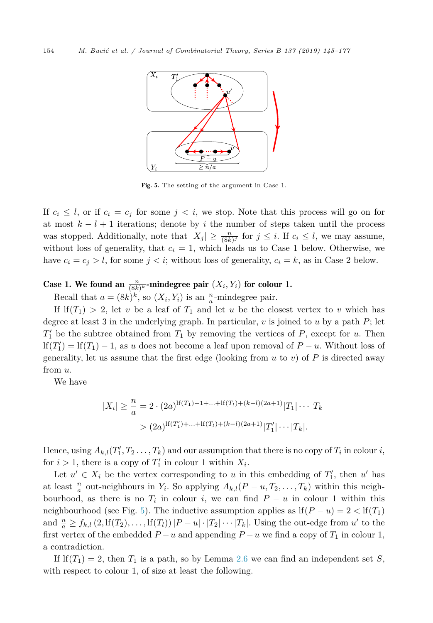

Fig. 5. The setting of the argument in Case 1.

If  $c_i \leq l$ , or if  $c_i = c_j$  for some  $j < i$ , we stop. Note that this process will go on for at most  $k - l + 1$  iterations; denote by *i* the number of steps taken until the process was stopped. Additionally, note that  $|X_j| \geq \frac{n}{(8k)^j}$  for  $j \leq i$ . If  $c_i \leq l$ , we may assume, without loss of generality, that  $c_i = 1$ , which leads us to Case 1 below. Otherwise, we have  $c_i = c_j > l$ , for some  $j < i$ ; without loss of generality,  $c_i = k$ , as in Case 2 below.

# Case 1. We found an  $\frac{n}{(8k)^k}$ -mindegree pair  $(X_i, Y_i)$  for colour 1.

Recall that  $a = (8k)^k$ , so  $(X_i, Y_i)$  is an  $\frac{n}{a}$ -mindegree pair.

If  $If(T_1) > 2$ , let *v* be a leaf of  $T_1$  and let *u* be the closest vertex to *v* which has degree at least 3 in the underlying graph. In particular, *v* is joined to *u* by a path *P*; let *T* <sup>1</sup> be the subtree obtained from *T*<sup>1</sup> by removing the vertices of *P*, except for *u*. Then  $\text{If}(T_1') = \text{If}(T_1) - 1$ , as *u* does not become a leaf upon removal of  $P - u$ . Without loss of generality, let us assume that the first edge (looking from  $u$  to  $v$ ) of  $P$  is directed away from *u*.

We have

$$
|X_i| \ge \frac{n}{a} = 2 \cdot (2a)^{\lfloor f(T_1) - 1 + \dots + \lfloor f(T_l) + (k-l)(2a+1) \rfloor} T_1 | \dots | T_k |
$$
  
>  $(2a)^{\lfloor f(T_1') + \dots + \lfloor f(T_l) + (k-l)(2a+1) \rfloor} T_1' | \dots | T_k |.$ 

Hence, using  $A_{k,l}(T_1', T_2 \ldots, T_k)$  and our assumption that there is no copy of  $T_i$  in colour  $i$ , for  $i > 1$ , there is a copy of  $T'_1$  in colour 1 within  $X_i$ .

Let  $u' \in X_i$  be the vertex corresponding to *u* in this embedding of  $T'_1$ , then *u'* has at least  $\frac{n}{a}$  out-neighbours in  $Y_i$ . So applying  $A_{k,l}(P-u, T_2, \ldots, T_k)$  within this neighbourhood, as there is no  $T_i$  in colour *i*, we can find  $P - u$  in colour 1 within this neighbourhood (see Fig. 5). The inductive assumption applies as  $\text{If}(P - u) = 2 < \text{If}(T_1)$ and  $\frac{n}{a} \ge f_{k,l}(2, \text{If}(T_2), \ldots, \text{If}(T_l))|P-u| \cdot |T_2| \cdots |T_k|$ . Using the out-edge from  $u'$  to the first vertex of the embedded  $P - u$  and appending  $P - u$  we find a copy of  $T_1$  in colour 1, a contradiction.

If  $If(T_1) = 2$ , then  $T_1$  is a path, so by Lemma [2.6](#page-6-0) we can find an independent set *S*, with respect to colour 1, of size at least the following.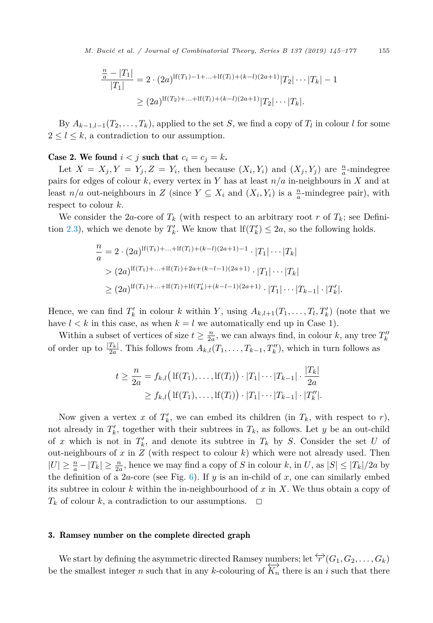<span id="page-10-0"></span>*M. Bucić et al. / Journal of Combinatorial Theory, Series B 137 (2019) 145–177* 155

$$
\frac{\frac{n}{a} - |T_1|}{|T_1|} = 2 \cdot (2a)^{\text{lf}(T_1) - 1 + \dots + \text{lf}(T_l) + (k-l)(2a+1)} |T_2| \cdots |T_k| - 1
$$
  
\n
$$
\geq (2a)^{\text{lf}(T_2) + \dots + \text{lf}(T_l) + (k-l)(2a+1)} |T_2| \cdots |T_k|.
$$

By  $A_{k-1,l-1}(T_2,\ldots,T_k)$ , applied to the set *S*, we find a copy of  $T_l$  in colour *l* for some  $2 \leq l \leq k$ , a contradiction to our assumption.

Case 2. We found  $i < j$  such that  $c_i = c_j = k$ .

Let  $X = X_j, Y = Y_j, Z = Y_i$ , then because  $(X_i, Y_i)$  and  $(X_j, Y_j)$  are  $\frac{n}{a}$ -mindegree pairs for edges of colour *k*, every vertex in *Y* has at least *n/a* in-neighbours in *X* and at least  $n/a$  out-neighbours in *Z* (since  $Y \subseteq X_i$  and  $(X_i, Y_i)$  is a  $\frac{n}{a}$ -mindegree pair), with respect to colour *k*.

We consider the 2*a*-core of  $T_k$  (with respect to an arbitrary root *r* of  $T_k$ ; see Defini-tion [2.3\)](#page-5-0), which we denote by  $T'_k$ . We know that  $\text{If}(T'_k) \leq 2a$ , so the following holds.

$$
\frac{n}{a} = 2 \cdot (2a)^{\text{lf}(T_1) + \dots + \text{lf}(T_l) + (k-l)(2a+1) - 1} \cdot |T_1| \cdots |T_k|
$$
  
>  $(2a)^{\text{lf}(T_1) + \dots + \text{lf}(T_l) + 2a + (k-l-1)(2a+1)} \cdot |T_1| \cdots |T_k|$   
>  $(2a)^{\text{lf}(T_1) + \dots + \text{lf}(T_l) + \text{lf}(T_k') + (k-l-1)(2a+1)} \cdot |T_1| \cdots |T_{k-1}| \cdot |T_k'|.$ 

Hence, we can find  $T'_{k}$  in colour *k* within *Y*, using  $A_{k,l+1}(T_1,\ldots,T_l,T'_{k})$  (note that we have  $l < k$  in this case, as when  $k = l$  we automatically end up in Case 1).

Within a subset of vertices of size  $t \geq \frac{n}{2a}$ , we can always find, in colour *k*, any tree  $T_k''$ of order up to  $\frac{|T_k|}{2a}$ . This follows from  $A_{k,l}(T_1,\ldots,T_{k-1},T''_k)$ , which in turn follows as

$$
t \geq \frac{n}{2a} = f_{k,l}(\text{If}(T_1), \dots, \text{If}(T_l)) \cdot |T_1| \cdots |T_{k-1}| \cdot \frac{|T_k|}{2a}
$$
  
 
$$
\geq f_{k,l}(\text{If}(T_1), \dots, \text{If}(T_l)) \cdot |T_1| \cdots |T_{k-1}| \cdot |T_k''|.
$$

Now given a vertex x of  $T'_k$ , we can embed its children (in  $T_k$ , with respect to  $r$ ), not already in  $T'_{k}$ , together with their subtrees in  $T_{k}$ , as follows. Let *y* be an out-child of *x* which is not in  $T'_k$ , and denote its subtree in  $T_k$  by *S*. Consider the set *U* of out-neighbours of *x* in *Z* (with respect to colour *k*) which were not already used. Then  $|U| \geq \frac{n}{a} - |T_k| \geq \frac{n}{2a}$ , hence we may find a copy of *S* in colour *k*, in *U*, as  $|S| \leq |T_k|/2a$  by the definition of a 2*a*-core (see Fig.  $6$ ). If *y* is an in-child of *x*, one can similarly embed its subtree in colour *k* within the in-neighbourhood of *x* in *X*. We thus obtain a copy of  $T_k$  of colour *k*, a contradiction to our assumptions.  $\Box$ 

#### 3. Ramsey number on the complete directed graph

We start by defining the asymmetric directed Ramsey numbers; let  $\overleftrightarrow{r}(G_1, G_2, \ldots, G_k)$ be the smallest integer *n* such that in any *k*-colouring of  $\overleftrightarrow{K_n}$  there is an *i* such that there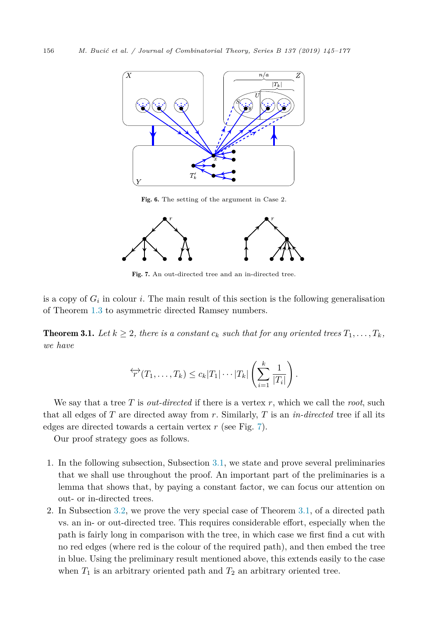<span id="page-11-0"></span>

Fig. 6. The setting of the argument in Case 2.



Fig. 7. An out-directed tree and an in-directed tree.

is a copy of  $G_i$  in colour *i*. The main result of this section is the following generalisation of Theorem [1.3](#page-3-0) to asymmetric directed Ramsey numbers.

**Theorem 3.1.** Let  $k \geq 2$ , there is a constant  $c_k$  such that for any oriented trees  $T_1, \ldots, T_k$ , *we have*

$$
\overleftrightarrow{r}(T_1,\ldots,T_k) \leq c_k |T_1|\cdots|T_k| \left(\sum_{i=1}^k \frac{1}{|T_i|}\right).
$$

We say that a tree *T* is *out-directed* if there is a vertex *r*, which we call the *root*, such that all edges of *T* are directed away from *r*. Similarly, *T* is an *in-directed* tree if all its edges are directed towards a certain vertex *r* (see Fig. 7).

Our proof strategy goes as follows.

- 1. In the following subsection, Subsection [3.1,](#page-12-0) we state and prove several preliminaries that we shall use throughout the proof. An important part of the preliminaries is a lemma that shows that, by paying a constant factor, we can focus our attention on out- or in-directed trees.
- 2. In Subsection [3.2,](#page-16-0) we prove the very special case of Theorem 3.1, of a directed path vs. an in- or out-directed tree. This requires considerable effort, especially when the path is fairly long in comparison with the tree, in which case we first find a cut with no red edges (where red is the colour of the required path), and then embed the tree in blue. Using the preliminary result mentioned above, this extends easily to the case when  $T_1$  is an arbitrary oriented path and  $T_2$  an arbitrary oriented tree.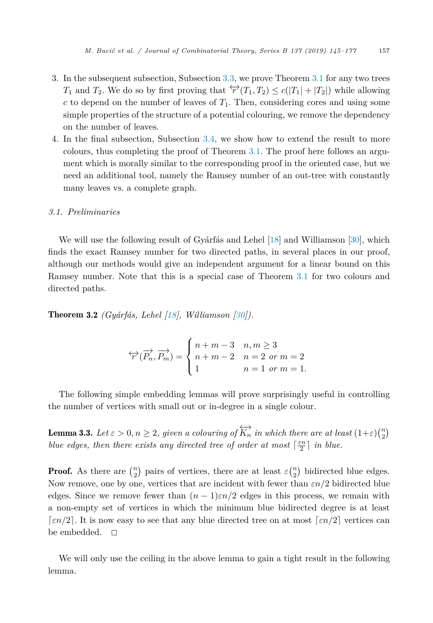- <span id="page-12-0"></span>3. In the subsequent subsection, Subsection [3.3,](#page-23-0) we prove Theorem [3.1](#page-11-0) for any two trees *T*<sub>1</sub> and *T*<sub>2</sub>. We do so by first proving that  $\overleftrightarrow{r}(T_1, T_2) \leq c(|T_1| + |T_2|)$  while allowing  $c$  to depend on the number of leaves of  $T_1$ . Then, considering cores and using some simple properties of the structure of a potential colouring, we remove the dependency on the number of leaves.
- 4. In the final subsection, Subsection [3.4,](#page-25-0) we show how to extend the result to more colours, thus completing the proof of Theorem [3.1.](#page-11-0) The proof here follows an argument which is morally similar to the corresponding proof in the oriented case, but we need an additional tool, namely the Ramsey number of an out-tree with constantly many leaves vs. a complete graph.

#### *3.1. Preliminaries*

We will use the following result of Gyárfás and Lehel [\[18\]](#page-32-0) and Williamson [\[30\]](#page-32-0), which finds the exact Ramsey number for two directed paths, in several places in our proof, although our methods would give an independent argument for a linear bound on this Ramsey number. Note that this is a special case of Theorem [3.1](#page-11-0) for two colours and directed paths.

Theorem 3.2 *(Gyárfás, Lehel [\[18\]](#page-32-0), Williamson [\[30\]](#page-32-0)).*

$$
\overleftrightarrow{r}(\overrightarrow{P_n}, \overrightarrow{P_m}) = \begin{cases} n+m-3 & n,m \ge 3 \\ n+m-2 & n = 2 \text{ or } m = 2 \\ 1 & n = 1 \text{ or } m = 1. \end{cases}
$$

The following simple embedding lemmas will prove surprisingly useful in controlling the number of vertices with small out or in-degree in a single colour.

**Lemma 3.3.** Let  $\varepsilon > 0, n \ge 2$ , given a colouring of  $\overleftrightarrow{K_n}$  in which there are at least  $(1+\varepsilon)\binom{n}{2}$ *blue edges, then there exists any directed tree of order at most*  $\lceil \frac{\varepsilon n}{2} \rceil$  *in blue.* 

**Proof.** As there are  $\binom{n}{2}$  pairs of vertices, there are at least  $\varepsilon \binom{n}{2}$  bidirected blue edges. Now remove, one by one, vertices that are incident with fewer than *εn/*2 bidirected blue edges. Since we remove fewer than  $(n-1)\varepsilon n/2$  edges in this process, we remain with a non-empty set of vertices in which the minimum blue bidirected degree is at least [ $\epsilon n/2$ ]. It is now easy to see that any blue directed tree on at most  $\lceil \epsilon n/2 \rceil$  vertices can be embedded.  $\square$ 

We will only use the ceiling in the above lemma to gain a tight result in the following lemma.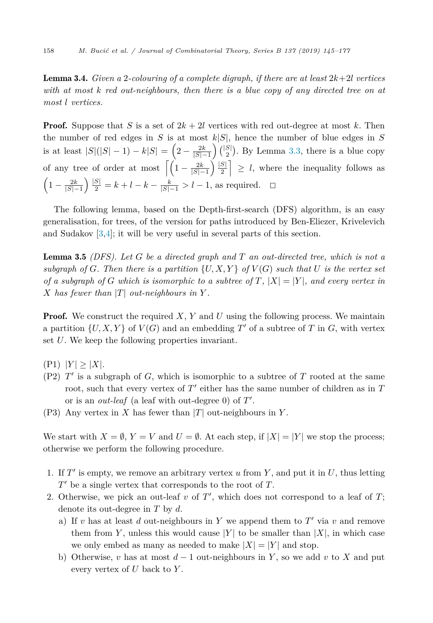<span id="page-13-0"></span>**Lemma 3.4.** *Given* a 2-colouring of a complete digraph, if there are at least  $2k+2l$  vertices *with at most k red out-neighbours, then there is a blue copy of any directed tree on at most l vertices.*

**Proof.** Suppose that *S* is a set of  $2k + 2l$  vertices with red out-degree at most k. Then the number of red edges in *S* is at most  $k|S|$ , hence the number of blue edges in *S* is at least  $|S|(|S|-1) - k|S| = \left(2 - \frac{2k}{|S|-1}\right) { |S| \choose 2}.$  By Lemma [3.3,](#page-12-0) there is a blue copy of any tree of order at most  $\left[ \left( 1 - \frac{2k}{|S| - 1} \right) \right]$  $\left| \frac{|S|}{2} \right| \geq l$ , where the inequality follows as  $\left(1 - \frac{2k}{|S| - 1}\right)$  $\int \frac{|S|}{2} = k + l - k - \frac{k}{|S| - 1} > l - 1$ , as required. □

The following lemma, based on the Depth-first-search (DFS) algorithm, is an easy generalisation, for trees, of the version for paths introduced by Ben-Eliezer, Krivelevich and Sudakov [\[3,4\]](#page-31-0); it will be very useful in several parts of this section.

Lemma 3.5 *(DFS). Let G be a directed graph and T an out-directed tree, which is not a* subgraph of G. Then there is a partition  $\{U, X, Y\}$  of  $V(G)$  such that U is the vertex set of a subgraph of G which is isomorphic to a subtree of T,  $|X| = |Y|$ , and every vertex in *X* has fewer than  $|T|$  *out-neighbours in*  $Y$ .

**Proof.** We construct the required *X*, *Y* and *U* using the following process. We maintain a partition  $\{U, X, Y\}$  of  $V(G)$  and an embedding T' of a subtree of T in G, with vertex set *U*. We keep the following properties invariant.

- $(P1)$   $|Y| \geq |X|$ .
- (P2) *T* is a subgraph of *G*, which is isomorphic to a subtree of *T* rooted at the same root, such that every vertex of  $T'$  either has the same number of children as in  $T$ or is an *out-leaf* (a leaf with out-degree 0) of *T* .
- (P3) Any vertex in *X* has fewer than |*T*| out-neighbours in *Y* .

We start with  $X = \emptyset$ ,  $Y = V$  and  $U = \emptyset$ . At each step, if  $|X| = |Y|$  we stop the process; otherwise we perform the following procedure.

- 1. If  $T'$  is empty, we remove an arbitrary vertex  $u$  from  $Y$ , and put it in  $U$ , thus letting *T* be a single vertex that corresponds to the root of *T*.
- 2. Otherwise, we pick an out-leaf  $v$  of  $T'$ , which does not correspond to a leaf of  $T$ ; denote its out-degree in *T* by *d*.
	- a) If *v* has at least *d* out-neighbours in Y we append them to T' via *v* and remove them from *Y*, unless this would cause |*Y*| to be smaller than  $|X|$ , in which case we only embed as many as needed to make  $|X| = |Y|$  and stop.
	- b) Otherwise, *v* has at most *d* − 1 out-neighbours in *Y* , so we add *v* to *X* and put every vertex of *U* back to *Y* .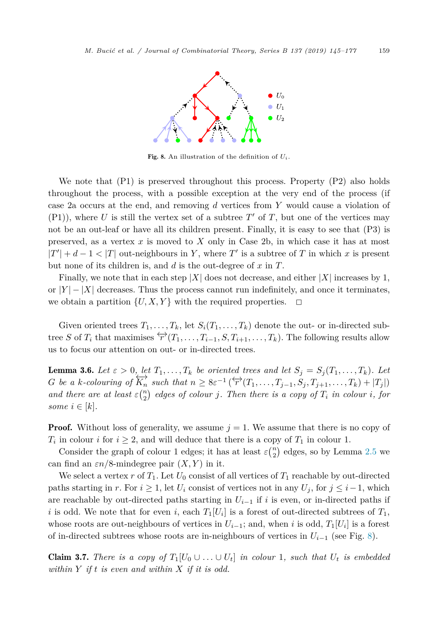<span id="page-14-0"></span>

Fig. 8. An illustration of the definition of  $U_i$ .

We note that  $(P1)$  is preserved throughout this process. Property  $(P2)$  also holds throughout the process, with a possible exception at the very end of the process (if case 2a occurs at the end, and removing *d* vertices from *Y* would cause a violation of (P1)), where U is still the vertex set of a subtree  $T'$  of T, but one of the vertices may not be an out-leaf or have all its children present. Finally, it is easy to see that (P3) is preserved, as a vertex *x* is moved to *X* only in Case 2b, in which case it has at most  $|T'| + d - 1 < |T|$  out-neighbours in *Y*, where  $T'$  is a subtree of *T* in which *x* is present but none of its children is, and *d* is the out-degree of *x* in *T*.

Finally, we note that in each step  $|X|$  does not decrease, and either  $|X|$  increases by 1, or  $|Y| - |X|$  decreases. Thus the process cannot run indefinitely, and once it terminates, we obtain a partition  $\{U, X, Y\}$  with the required properties.  $\Box$ 

Given oriented trees  $T_1, \ldots, T_k$ , let  $S_i(T_1, \ldots, T_k)$  denote the out- or in-directed subtree *S* of  $T_i$  that maximises  $\overleftrightarrow{r}(T_1,\ldots,T_{i-1},S,T_{i+1},\ldots,T_k)$ . The following results allow us to focus our attention on out- or in-directed trees.

**Lemma 3.6.** Let  $\varepsilon > 0$ , let  $T_1, \ldots, T_k$  be oriented trees and let  $S_j = S_j(T_1, \ldots, T_k)$ . Let G be a k-colouring of  $\overleftrightarrow{K_n}$  such that  $n \geq 8\varepsilon^{-1} (\overleftrightarrow{r}(T_1,\ldots,T_{j-1},S_j,T_{j+1},\ldots,T_k)+|T_j|)$ and there are at least  $\varepsilon\binom{n}{2}$  edges of colour j. Then there is a copy of  $T_i$  in colour i, for *some*  $i \in [k]$ *.* 

**Proof.** Without loss of generality, we assume  $j = 1$ . We assume that there is no copy of  $T_i$  in colour *i* for  $i \geq 2$ , and will deduce that there is a copy of  $T_1$  in colour 1.

Consider the graph of colour 1 edges; it has at least  $\varepsilon\binom{n}{2}$  edges, so by Lemma [2.5](#page-5-0) we can find an  $\varepsilon n/8$ -mindegree pair  $(X, Y)$  in it.

We select a vertex  $r$  of  $T_1$ . Let  $U_0$  consist of all vertices of  $T_1$  reachable by out-directed paths starting in *r*. For  $i \geq 1$ , let  $U_i$  consist of vertices not in any  $U_i$ , for  $j \leq i-1$ , which are reachable by out-directed paths starting in  $U_{i-1}$  if *i* is even, or in-directed paths if *i* is odd. We note that for even *i*, each  $T_1[U_i]$  is a forest of out-directed subtrees of  $T_1$ , whose roots are out-neighbours of vertices in  $U_{i-1}$ ; and, when *i* is odd,  $T_1[U_i]$  is a forest of in-directed subtrees whose roots are in-neighbours of vertices in  $U_{i-1}$  (see Fig. 8).

**Claim 3.7.** There is a copy of  $T_1[U_0 \cup \ldots \cup U_t]$  in colour 1, such that  $U_t$  is embedded *within Y if t is even and within X if it is odd.*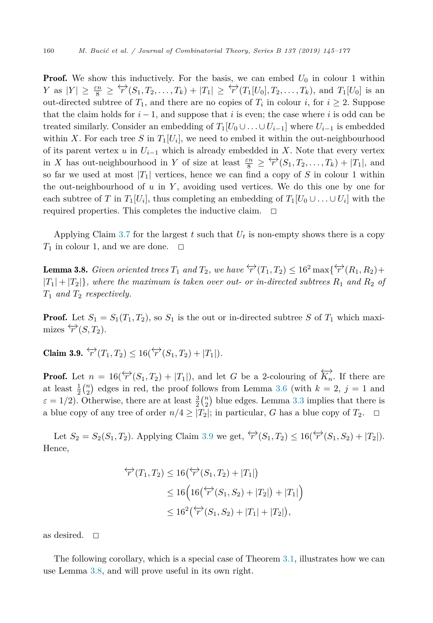<span id="page-15-0"></span>**Proof.** We show this inductively. For the basis, we can embed  $U_0$  in colour 1 within  $Y$  as  $|Y| \ge \frac{\varepsilon n}{8} \ge \overleftarrow{r}(S_1, T_2, \ldots, T_k) + |T_1| \ge \overleftarrow{r}(T_1[U_0], T_2, \ldots, T_k)$ , and  $T_1[U_0]$  is an out-directed subtree of  $T_1$ , and there are no copies of  $T_i$  in colour *i*, for  $i \geq 2$ . Suppose that the claim holds for  $i - 1$ , and suppose that i is even; the case where i is odd can be treated similarly. Consider an embedding of  $T_1[U_0 \cup \ldots \cup U_{i-1}]$  where  $U_{i-1}$  is embedded within *X*. For each tree *S* in  $T_1[U_i]$ , we need to embed it within the out-neighbourhood of its parent vertex *u* in  $U_{i-1}$  which is already embedded in *X*. Note that every vertex in *X* has out-neighbourhood in *Y* of size at least  $\frac{\varepsilon n}{8} \geq \frac{\langle \rightarrow}{r}(S_1, T_2, \dots, T_k) + |T_1|$ , and so far we used at most  $|T_1|$  vertices, hence we can find a copy of *S* in colour 1 within the out-neighbourhood of *u* in *Y* , avoiding used vertices. We do this one by one for each subtree of *T* in  $T_1[U_i]$ , thus completing an embedding of  $T_1[U_0 \cup \ldots \cup U_i]$  with the required properties. This completes the inductive claim.  $\Box$ 

Applying Claim [3.7](#page-14-0) for the largest  $t$  such that  $U_t$  is non-empty shows there is a copy  $T_1$  in colour 1, and we are done.  $\Box$ 

**Lemma 3.8.** Given oriented trees  $T_1$  and  $T_2$ , we have  $\overleftrightarrow{r}(T_1, T_2) \leq 16^2 \max\{\overleftrightarrow{r}(R_1, R_2) +$  $|T_1| + |T_2|$ , where the maximum is taken over out- or in-directed subtrees  $R_1$  and  $R_2$  of *T*<sup>1</sup> *and T*<sup>2</sup> *respectively.*

**Proof.** Let  $S_1 = S_1(T_1, T_2)$ , so  $S_1$  is the out or in-directed subtree S of  $T_1$  which maximizes  $\overleftrightarrow{r}(S,T_2)$ .

 $\text{Claim 3.9.} \overset{\leftrightarrow}{r}(T_1, T_2) \leq 16(\overset{\leftrightarrow}{r}(S_1, T_2) + |T_1|).$ 

**Proof.** Let  $n = 16(\overleftrightarrow{r}(S_1, T_2) + |T_1|)$ , and let *G* be a 2-colouring of  $\overleftrightarrow{K_n}$ . If there are at least  $\frac{1}{2} {n \choose 2}$  edges in red, the proof follows from Lemma [3.6](#page-14-0) (with  $k = 2$ ,  $j = 1$  and  $\varepsilon = 1/2$ ). Otherwise, there are at least  $\frac{3}{2} {n \choose 2}$  blue edges. Lemma [3.3](#page-12-0) implies that there is a blue copy of any tree of order  $n/4 \geq |T_2|$ ; in particular, *G* has a blue copy of  $T_2$ .  $\Box$ 

Let  $S_2 = S_2(S_1, T_2)$ . Applying Claim 3.9 we get,  $\overleftrightarrow{r}(S_1, T_2) \leq 16(\overleftrightarrow{r}(S_1, S_2) + |T_2|)$ . Hence,

$$
\begin{aligned} \n\overleftrightarrow{r}(T_1, T_2) &\le 16\big(\overleftrightarrow{r}(S_1, T_2) + |T_1|\big) \\ \n&\le 16\Big(16\big(\overleftrightarrow{r}(S_1, S_2) + |T_2|\big) + |T_1|\Big) \\ \n&\le 16^2\big(\overleftrightarrow{r}(S_1, S_2) + |T_1| + |T_2|\big), \n\end{aligned}
$$

as desired.  $\square$ 

The following corollary, which is a special case of Theorem [3.1,](#page-11-0) illustrates how we can use Lemma 3.8, and will prove useful in its own right.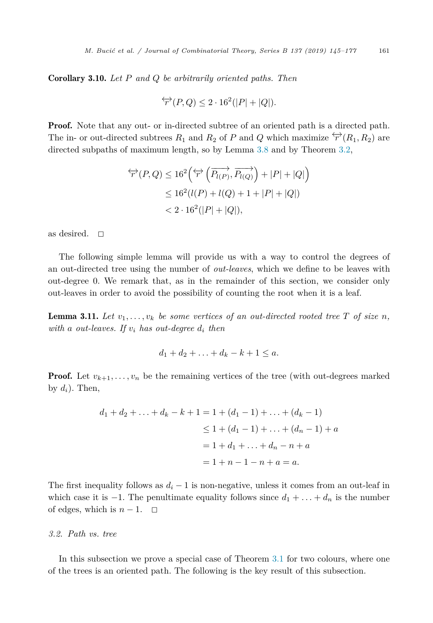<span id="page-16-0"></span>Corollary 3.10. *Let P and Q be arbitrarily oriented paths. Then*

$$
\overleftrightarrow{r}(P,Q) \le 2 \cdot 16^2(|P|+|Q|).
$$

**Proof.** Note that any out- or in-directed subtree of an oriented path is a directed path. The in- or out-directed subtrees  $R_1$  and  $R_2$  of  $P$  and  $Q$  which maximize  $\overleftrightarrow{r}(R_1, R_2)$  are directed subpaths of maximum length, so by Lemma [3.8](#page-15-0) and by Theorem [3.2,](#page-12-0)

$$
\begin{aligned} \overleftrightarrow{r}(P,Q) &\le 16^2 \left( \overleftrightarrow{r} \left( \overrightarrow{P_{l(P)}}, \overrightarrow{P_{l(Q)}} \right) + |P| + |Q| \right) \\ &\le 16^2 (l(P) + l(Q) + 1 + |P| + |Q|) \\ &< 2 \cdot 16^2 (|P| + |Q|), \end{aligned}
$$

as desired.  $\square$ 

The following simple lemma will provide us with a way to control the degrees of an out-directed tree using the number of *out-leaves*, which we define to be leaves with out-degree 0. We remark that, as in the remainder of this section, we consider only out-leaves in order to avoid the possibility of counting the root when it is a leaf.

**Lemma 3.11.** Let  $v_1, \ldots, v_k$  be some vertices of an out-directed rooted tree T of size n, *with a out-leaves.* If  $v_i$  *has out-degree*  $d_i$  *then* 

$$
d_1+d_2+\ldots+d_k-k+1\leq a.
$$

**Proof.** Let  $v_{k+1}, \ldots, v_n$  be the remaining vertices of the tree (with out-degrees marked by  $d_i$ ). Then,

$$
d_1 + d_2 + \ldots + d_k - k + 1 = 1 + (d_1 - 1) + \ldots + (d_k - 1)
$$
  
\n
$$
\leq 1 + (d_1 - 1) + \ldots + (d_n - 1) + a
$$
  
\n
$$
= 1 + d_1 + \ldots + d_n - n + a
$$
  
\n
$$
= 1 + n - 1 - n + a = a.
$$

The first inequality follows as  $d_i - 1$  is non-negative, unless it comes from an out-leaf in which case it is  $-1$ . The penultimate equality follows since  $d_1 + \ldots + d_n$  is the number of edges, which is  $n-1$ .  $\Box$ 

#### *3.2. Path vs. tree*

In this subsection we prove a special case of Theorem [3.1](#page-11-0) for two colours, where one of the trees is an oriented path. The following is the key result of this subsection.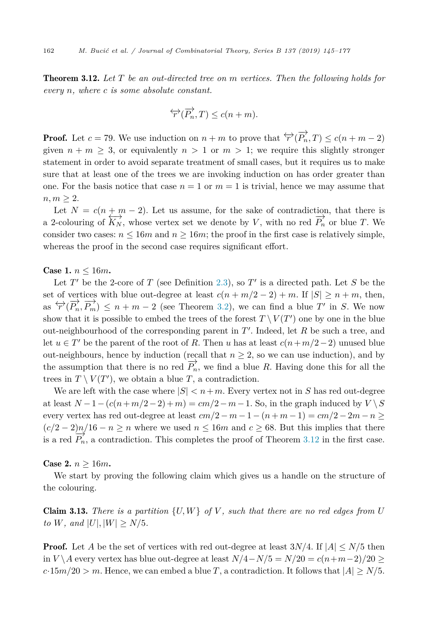<span id="page-17-0"></span>Theorem 3.12. *Let T be an out-directed tree on m vertices. Then the following holds for every n, where c is some absolute constant.*

$$
\overleftrightarrow{r}(\overrightarrow{P_n},T) \le c(n+m).
$$

**Proof.** Let  $c = 79$ . We use induction on  $n + m$  to prove that  $\overleftrightarrow{r}(\overrightarrow{P_n}, T) \leq c(n + m - 2)$ given  $n + m \geq 3$ , or equivalently  $n \geq 1$  or  $m \geq 1$ ; we require this slightly stronger statement in order to avoid separate treatment of small cases, but it requires us to make sure that at least one of the trees we are invoking induction on has order greater than one. For the basis notice that case  $n = 1$  or  $m = 1$  is trivial, hence we may assume that  $n, m \geq 2.$ 

Let  $N = c(n + m - 2)$ . Let us assume, for the sake of contradiction, that there is a 2-colouring of  $\overleftrightarrow{K_N}$ , whose vertex set we denote by *V*, with no red  $\overrightarrow{P_n}$  or blue *T*. We consider two cases:  $n \leq 16m$  and  $n \geq 16m$ ; the proof in the first case is relatively simple, whereas the proof in the second case requires significant effort.

#### **Case 1.**  $n \leq 16m$ .

Let  $T'$  be the 2-core of  $T$  (see Definition [2.3\)](#page-5-0), so  $T'$  is a directed path. Let  $S$  be the set of vertices with blue out-degree at least  $c(n + m/2 - 2) + m$ . If  $|S| \ge n + m$ , then, as  $\overleftrightarrow{r}(\overrightarrow{P_n}, \overrightarrow{P_m}) \leq n + m - 2$  (see Theorem [3.2\)](#page-12-0), we can find a blue *T'* in *S*. We now show that it is possible to embed the trees of the forest  $T \setminus V(T')$  one by one in the blue out-neighbourhood of the corresponding parent in *T* . Indeed, let *R* be such a tree, and let  $u \in T'$  be the parent of the root of R. Then *u* has at least  $c(n+m/2-2)$  unused blue out-neighbours, hence by induction (recall that  $n \geq 2$ , so we can use induction), and by the assumption that there is no red  $\overrightarrow{P_n}$ , we find a blue *R*. Having done this for all the trees in  $T \setminus V(T')$ , we obtain a blue *T*, a contradiction.

We are left with the case where  $|S| < n+m$ . Every vertex not in *S* has red out-degree at least  $N-1-(c(n+m/2-2)+m) = cm/2-m-1$ . So, in the graph induced by  $V \setminus S$ every vertex has red out-degree at least  $cm/2 - m - 1 - (n + m - 1) = cm/2 - 2m - n \ge$  $(c/2-2)n/16-n \ge n$  where we used  $n \le 16m$  and  $c \ge 68$ . But this implies that there is a red  $P'_n$ , a contradiction. This completes the proof of Theorem 3.12 in the first case.

#### **Case 2.**  $n \ge 16m$ .

We start by proving the following claim which gives us a handle on the structure of the colouring.

**Claim 3.13.** There is a partition  $\{U, W\}$  of V, such that there are no red edges from U *to W,* and  $|U|, |W| \geq N/5$ *.* 

**Proof.** Let *A* be the set of vertices with red out-degree at least  $3N/4$ . If  $|A| \leq N/5$  then in *V*  $\setminus$  *A* every vertex has blue out-degree at least  $N/4 - N/5 = N/20 = c(n+m-2)/20 ≥$  $c \cdot 15m/20 > m$ . Hence, we can embed a blue *T*, a contradiction. It follows that  $|A| \ge N/5$ .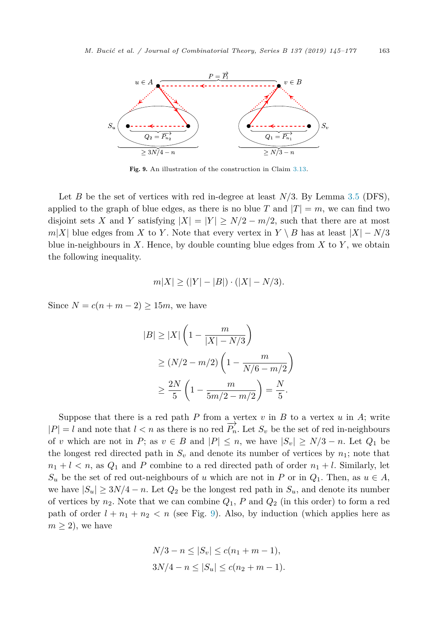

Fig. 9. An illustration of the construction in Claim [3.13.](#page-17-0)

Let *B* be the set of vertices with red in-degree at least *N*/3. By Lemma [3.5](#page-13-0) (DFS), applied to the graph of blue edges, as there is no blue *T* and  $|T| = m$ , we can find two disjoint sets *X* and *Y* satisfying  $|X| = |Y| \ge N/2 - m/2$ , such that there are at most  $m|X|$  blue edges from *X* to *Y*. Note that every vertex in *Y* \ *B* has at least  $|X| - N/3$ blue in-neighbours in  $X$ . Hence, by double counting blue edges from  $X$  to  $Y$ , we obtain the following inequality.

$$
m|X| \ge (|Y| - |B|) \cdot (|X| - N/3).
$$

Since  $N = c(n+m-2) \ge 15m$ , we have

$$
|B| \ge |X| \left( 1 - \frac{m}{|X| - N/3} \right)
$$
  
\n
$$
\ge (N/2 - m/2) \left( 1 - \frac{m}{N/6 - m/2} \right)
$$
  
\n
$$
\ge \frac{2N}{5} \left( 1 - \frac{m}{5m/2 - m/2} \right) = \frac{N}{5}.
$$

Suppose that there is a red path  $P$  from a vertex  $v$  in  $B$  to a vertex  $u$  in  $A$ ; write  $|P| = l$  and note that  $l < n$  as there is no red  $\overrightarrow{P_n}$ . Let  $S_v$  be the set of red in-neighbours of *v* which are not in *P*; as  $v \in B$  and  $|P| \leq n$ , we have  $|S_v| \geq N/3 - n$ . Let  $Q_1$  be the longest red directed path in  $S_v$  and denote its number of vertices by  $n_1$ ; note that  $n_1 + l < n$ , as  $Q_1$  and *P* combine to a red directed path of order  $n_1 + l$ . Similarly, let  $S_u$  be the set of red out-neighbours of *u* which are not in *P* or in  $Q_1$ . Then, as  $u \in A$ , we have  $|S_u| \geq 3N/4 - n$ . Let  $Q_2$  be the longest red path in  $S_u$ , and denote its number of vertices by  $n_2$ . Note that we can combine  $Q_1$ ,  $P$  and  $Q_2$  (in this order) to form a red path of order  $l + n_1 + n_2 < n$  (see Fig. 9). Also, by induction (which applies here as  $m \geq 2$ , we have

$$
N/3 - n \le |S_v| \le c(n_1 + m - 1),
$$
  
3N/4 - n \le |S\_u| \le c(n\_2 + m - 1).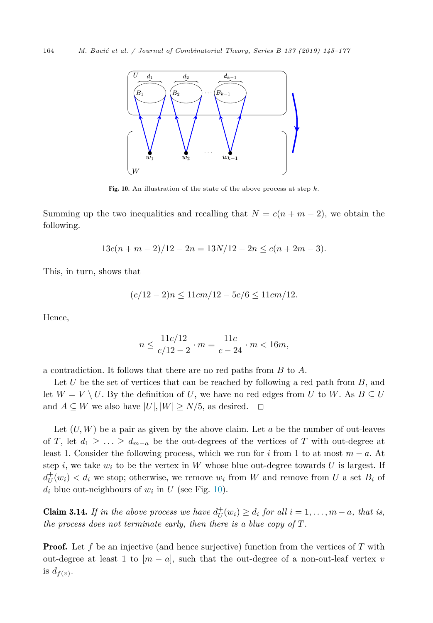

Fig. 10. An illustration of the state of the above process at step *k*.

Summing up the two inequalities and recalling that  $N = c(n + m - 2)$ , we obtain the following.

$$
13c(n+m-2)/12 - 2n = 13N/12 - 2n \le c(n+2m-3).
$$

This, in turn, shows that

$$
(c/12 - 2)n \le 11cm/12 - 5c/6 \le 11cm/12.
$$

Hence,

$$
n \le \frac{11c/12}{c/12 - 2} \cdot m = \frac{11c}{c - 24} \cdot m < 16m,
$$

a contradiction. It follows that there are no red paths from *B* to *A*.

Let *U* be the set of vertices that can be reached by following a red path from *B*, and let  $W = V \setminus U$ . By the definition of *U*, we have no red edges from *U* to *W*. As  $B \subseteq U$  and  $A \subseteq W$  we also have  $|U|$ ,  $|W| > N/5$ , as desired.  $\square$ and  $A \subseteq W$  we also have  $|U|, |W| \ge N/5$ , as desired.

Let (*U, W*) be a pair as given by the above claim. Let *a* be the number of out-leaves of *T*, let  $d_1 \geq \ldots \geq d_{m-a}$  be the out-degrees of the vertices of *T* with out-degree at least 1. Consider the following process, which we run for *i* from 1 to at most *m* − *a*. At step *i*, we take  $w_i$  to be the vertex in W whose blue out-degree towards U is largest. If  $d_U^+(w_i) < d_i$  we stop; otherwise, we remove  $w_i$  from *W* and remove from *U* a set  $B_i$  of  $d_i$  blue out-neighbours of  $w_i$  in  $U$  (see Fig. 10).

**Claim 3.14.** If in the above process we have  $d_U^+(w_i) \geq d_i$  for all  $i = 1, ..., m - a$ , that is, *the process does not terminate early, then there is a blue copy of T.*

**Proof.** Let f be an injective (and hence surjective) function from the vertices of T with out-degree at least 1 to  $[m - a]$ , such that the out-degree of a non-out-leaf vertex *v* is  $d_{f(v)}$ .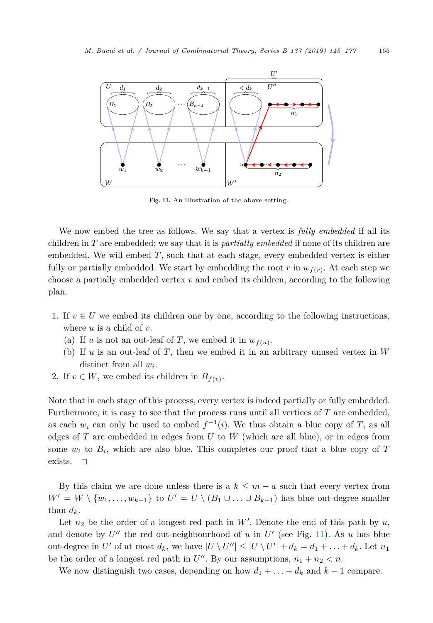

Fig. 11. An illustration of the above setting.

We now embed the tree as follows. We say that a vertex is *fully embedded* if all its children in *T* are embedded; we say that it is *partially embedded* if none of its children are embedded. We will embed *T*, such that at each stage, every embedded vertex is either fully or partially embedded. We start by embedding the root *r* in  $w_{f(r)}$ . At each step we choose a partially embedded vertex *v* and embed its children, according to the following plan.

- 1. If  $v \in U$  we embed its children one by one, according to the following instructions, where *u* is a child of *v*.
	- (a) If *u* is not an out-leaf of *T*, we embed it in  $w_{f(u)}$ .
	- (b) If *u* is an out-leaf of *T*, then we embed it in an arbitrary unused vertex in *W* distinct from all *wi*.
- 2. If  $v \in W$ , we embed its children in  $B_{f(v)}$ .

Note that in each stage of this process, every vertex is indeed partially or fully embedded. Furthermore, it is easy to see that the process runs until all vertices of *T* are embedded, as each  $w_i$  can only be used to embed  $f^{-1}(i)$ . We thus obtain a blue copy of *T*, as all edges of *T* are embedded in edges from *U* to *W* (which are all blue), or in edges from some  $w_i$  to  $B_i$ , which are also blue. This completes our proof that a blue copy of  $T$ exists.  $\square$ 

By this claim we are done unless there is a  $k \leq m - a$  such that every vertex from  $W' = W \setminus \{w_1, \ldots, w_{k-1}\}\$ to  $U' = U \setminus (B_1 \cup \ldots \cup B_{k-1})$  has blue out-degree smaller than  $d_k$ .

Let  $n_2$  be the order of a longest red path in W'. Denote the end of this path by  $u$ , and denote by  $U''$  the red out-neighbourhood of  $u$  in  $U'$  (see Fig. 11). As  $u$  has blue out-degree in  $U'$  of at most  $d_k$ , we have  $|U \setminus U''| \leq |U \setminus U'| + d_k = d_1 + \ldots + d_k$ . Let  $n_1$ be the order of a longest red path in  $U''$ . By our assumptions,  $n_1 + n_2 < n$ .

We now distinguish two cases, depending on how  $d_1 + \ldots + d_k$  and  $k-1$  compare.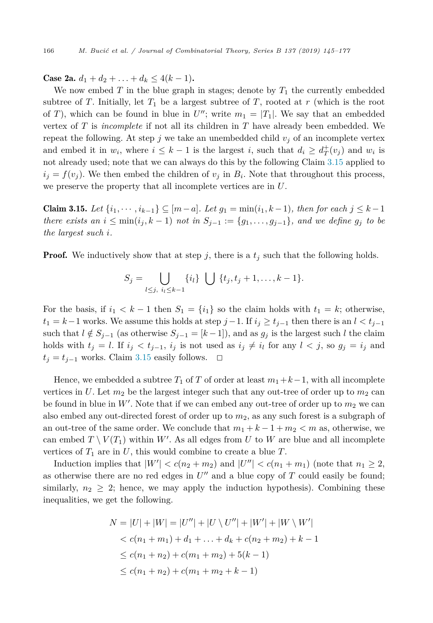Case 2a.  $d_1 + d_2 + \ldots + d_k \leq 4(k-1)$ .

We now embed  $T$  in the blue graph in stages; denote by  $T_1$  the currently embedded subtree of *T*. Initially, let  $T_1$  be a largest subtree of *T*, rooted at *r* (which is the root of *T*), which can be found in blue in  $U''$ ; write  $m_1 = |T_1|$ . We say that an embedded vertex of *T* is *incomplete* if not all its children in *T* have already been embedded. We repeat the following. At step *j* we take an unembedded child  $v_j$  of an incomplete vertex and embed it in  $w_i$ , where  $i \leq k - 1$  is the largest *i*, such that  $d_i \geq d^+_{T}(v_j)$  and  $w_i$  is not already used; note that we can always do this by the following Claim 3.15 applied to  $i_j = f(v_j)$ . We then embed the children of  $v_j$  in  $B_i$ . Note that throughout this process, we preserve the property that all incomplete vertices are in *U*.

Claim 3.15. *Let* {*i*1*,* ··· *,i<sup>k</sup>*−<sup>1</sup>} ⊆ [*m*−*a*]*. Let g*<sup>1</sup> = min(*i*1*, k* −1)*, then for each j* ≤ *k* −1 there exists an  $i \leq \min(i_j, k-1)$  not in  $S_{j-1} := \{g_1, \ldots, g_{j-1}\}\$ , and we define  $g_j$  to be *the largest such i.*

**Proof.** We inductively show that at step  $j$ , there is a  $t_j$  such that the following holds.

$$
S_j = \bigcup_{l \leq j, i_l \leq k-1} \{i_l\} \bigcup \{t_j, t_j + 1, \dots, k-1\}.
$$

For the basis, if  $i_1 < k - 1$  then  $S_1 = \{i_1\}$  so the claim holds with  $t_1 = k$ ; otherwise,  $t_1 = k-1$  works. We assume this holds at step  $j-1$ . If  $i_j \ge t_{j-1}$  then there is an  $l < t_{j-1}$ such that  $l \notin S_{j-1}$  (as otherwise  $S_{j-1} = [k-1]$ ), and as  $g_j$  is the largest such *l* the claim holds with  $t_j = l$ . If  $i_j < t_{j-1}$ ,  $i_j$  is not used as  $i_j \neq i_l$  for any  $l < j$ , so  $g_j = i_j$  and  $t_j = t_{j-1}$  works. Claim 3.15 easily follows.  $\Box$ 

Hence, we embedded a subtree  $T_1$  of  $T$  of order at least  $m_1+k-1$ , with all incomplete vertices in U. Let  $m_2$  be the largest integer such that any out-tree of order up to  $m_2$  can be found in blue in  $W'$ . Note that if we can embed any out-tree of order up to  $m_2$  we can also embed any out-directed forest of order up to *m*2, as any such forest is a subgraph of an out-tree of the same order. We conclude that  $m_1 + k - 1 + m_2 < m$  as, otherwise, we can embed  $T \setminus V(T_1)$  within W'. As all edges from U to W are blue and all incomplete vertices of  $T_1$  are in U, this would combine to create a blue  $T$ .

Induction implies that  $|W'| < c(n_2 + m_2)$  and  $|U''| < c(n_1 + m_1)$  (note that  $n_1 \geq 2$ , as otherwise there are no red edges in  $U''$  and a blue copy of  $T$  could easily be found; similarly,  $n_2 \geq 2$ ; hence, we may apply the induction hypothesis). Combining these inequalities, we get the following.

$$
N = |U| + |W| = |U''| + |U \setminus U''| + |W'| + |W \setminus W'|
$$
  
< 
$$
< c(n_1 + m_1) + d_1 + \dots + d_k + c(n_2 + m_2) + k - 1
$$
  

$$
\leq c(n_1 + n_2) + c(m_1 + m_2) + 5(k - 1)
$$
  

$$
\leq c(n_1 + n_2) + c(m_1 + m_2 + k - 1)
$$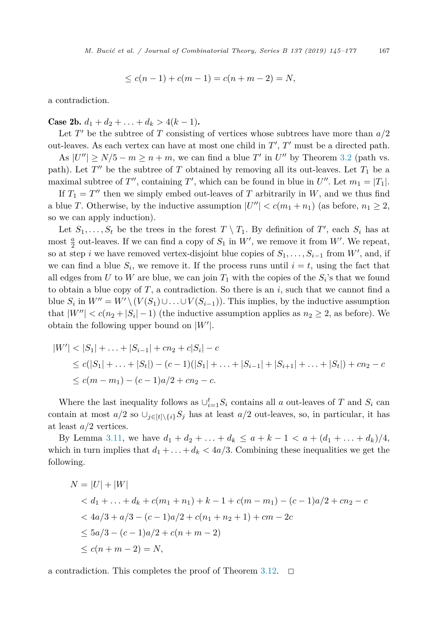$$
\leq c(n-1) + c(m-1) = c(n+m-2) = N,
$$

a contradiction.

Case 2b.  $d_1 + d_2 + \ldots + d_k > 4(k-1)$ .

Let  $T'$  be the subtree of  $T$  consisting of vertices whose subtrees have more than  $a/2$ out-leaves. As each vertex can have at most one child in *T* , *T* must be a directed path.

As  $|U''| \ge N/5 - m \ge n + m$ , we can find a blue T' in U'' by Theorem [3.2](#page-12-0) (path vs. path). Let  $T''$  be the subtree of *T* obtained by removing all its out-leaves. Let  $T_1$  be a maximal subtree of  $T''$ , containing  $T'$ , which can be found in blue in  $U''$ . Let  $m_1 = |T_1|$ .

If  $T_1 = T''$  then we simply embed out-leaves of *T* arbitrarily in *W*, and we thus find a blue *T*. Otherwise, by the inductive assumption  $|U''| < c(m_1 + n_1)$  (as before,  $n_1 \geq 2$ , so we can apply induction).

Let  $S_1, \ldots, S_t$  be the trees in the forest  $T \setminus T_1$ . By definition of  $T'$ , each  $S_i$  has at most  $\frac{a}{2}$  out-leaves. If we can find a copy of  $S_1$  in  $W'$ , we remove it from  $W'$ . We repeat, so at step *i* we have removed vertex-disjoint blue copies of  $S_1, \ldots, S_{i-1}$  from  $W'$ , and, if we can find a blue  $S_i$ , we remove it. If the process runs until  $i = t$ , using the fact that all edges from *U* to *W* are blue, we can join  $T_1$  with the copies of the  $S_i$ 's that we found to obtain a blue copy of  $T$ , a contradiction. So there is an  $i$ , such that we cannot find a blue  $S_i$  in  $W'' = W' \setminus (V(S_1) \cup ... \cup V(S_{i-1}))$ . This implies, by the inductive assumption that  $|W''| < c(n_2 + |S_i| - 1)$  (the inductive assumption applies as  $n_2 \geq 2$ , as before). We obtain the following upper bound on |*W* |.

$$
|W'| < |S_1| + \ldots + |S_{i-1}| + cn_2 + c|S_i| - c
$$
  
\n
$$
\leq c(|S_1| + \ldots + |S_t|) - (c - 1)(|S_1| + \ldots + |S_{i-1}| + |S_{i+1}| + \ldots + |S_t|) + cn_2 - c
$$
  
\n
$$
\leq c(m - m_1) - (c - 1)a/2 + cn_2 - c.
$$

Where the last inequality follows as  $\bigcup_{i=1}^{t} S_i$  contains all *a* out-leaves of *T* and  $S_i$  can contain at most  $a/2$  so  $\cup_{i\in[t]\setminus\{i\}}S_j$  has at least  $a/2$  out-leaves, so, in particular, it has at least *a/*2 vertices.

By Lemma [3.11,](#page-16-0) we have  $d_1 + d_2 + \ldots + d_k \le a + k - 1 < a + (d_1 + \ldots + d_k)/4$ , which in turn implies that  $d_1 + \ldots + d_k < 4a/3$ . Combining these inequalities we get the following.

$$
N = |U| + |W|
$$
  
\n
$$
< d_1 + ... + d_k + c(m_1 + n_1) + k - 1 + c(m - m_1) - (c - 1)a/2 + cn_2 - c
$$
  
\n
$$
< 4a/3 + a/3 - (c - 1)a/2 + c(n_1 + n_2 + 1) + cm - 2c
$$
  
\n
$$
\le 5a/3 - (c - 1)a/2 + c(n + m - 2)
$$
  
\n
$$
\le c(n + m - 2) = N,
$$

a contradiction. This completes the proof of Theorem [3.12.](#page-17-0)  $\Box$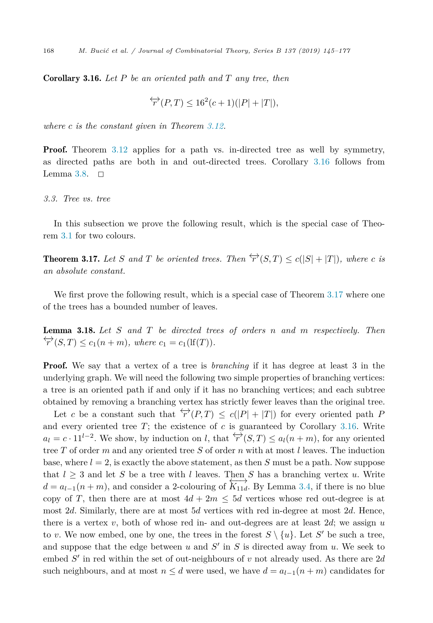<span id="page-23-0"></span>Corollary 3.16. *Let P be an oriented path and T any tree, then*

$$
\overleftrightarrow{r}(P,T) \le 16^2(c+1)(|P|+|T|),
$$

*where c is the constant given in Theorem [3.12.](#page-17-0)*

**Proof.** Theorem [3.12](#page-17-0) applies for a path vs. in-directed tree as well by symmetry, as directed paths are both in and out-directed trees. Corollary 3.16 follows from Lemma [3.8.](#page-15-0)  $\Box$ 

*3.3. Tree vs. tree*

In this subsection we prove the following result, which is the special case of Theorem [3.1](#page-11-0) for two colours.

**Theorem 3.17.** Let *S* and *T* be oriented trees. Then  $\overleftrightarrow{r}(S,T) \leq c(|S| + |T|)$ , where *c* is *an absolute constant.*

We first prove the following result, which is a special case of Theorem 3.17 where one of the trees has a bounded number of leaves.

Lemma 3.18. *Let S and T be directed trees of orders n and m respectively. Then*  $\overleftrightarrow{r}(S,T) \leq c_1(n+m)$ , where  $c_1 = c_1(\text{If}(T))$ .

**Proof.** We say that a vertex of a tree is *branching* if it has degree at least 3 in the underlying graph. We will need the following two simple properties of branching vertices: a tree is an oriented path if and only if it has no branching vertices; and each subtree obtained by removing a branching vertex has strictly fewer leaves than the original tree.

Let *c* be a constant such that  $\overleftrightarrow{r}(P,T) \leq c(|P| + |T|)$  for every oriented path P and every oriented tree  $T$ ; the existence of  $c$  is guaranteed by Corollary 3.16. Write  $a_l = c \cdot 11^{l-2}$ . We show, by induction on *l*, that  $\overleftrightarrow{r}(S,T) \leq a_l(n+m)$ , for any oriented tree *T* of order *m* and any oriented tree *S* of order *n* with at most *l* leaves. The induction base, where  $l = 2$ , is exactly the above statement, as then *S* must be a path. Now suppose that  $l \geq 3$  and let *S* be a tree with *l* leaves. Then *S* has a branching vertex *u*. Write  $d = a_{l-1}(n+m)$ , and consider a 2-colouring of  $\overleftrightarrow{K_{11d}}$ . By Lemma [3.4,](#page-13-0) if there is no blue copy of *T*, then there are at most  $4d + 2m \leq 5d$  vertices whose red out-degree is at most 2*d*. Similarly, there are at most 5*d* vertices with red in-degree at most 2*d*. Hence, there is a vertex  $v$ , both of whose red in- and out-degrees are at least  $2d$ ; we assign  $u$ to *v*. We now embed, one by one, the trees in the forest  $S \setminus \{u\}$ . Let S' be such a tree, and suppose that the edge between  $u$  and  $S'$  in  $S$  is directed away from  $u$ . We seek to embed *S* in red within the set of out-neighbours of *v* not already used. As there are 2*d* such neighbours, and at most  $n \leq d$  were used, we have  $d = a_{l-1}(n+m)$  candidates for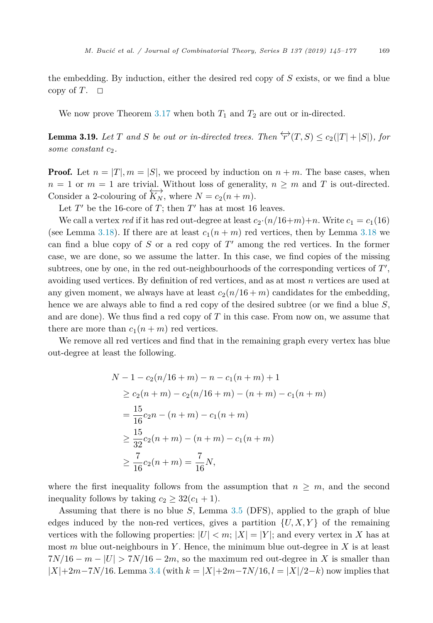<span id="page-24-0"></span>the embedding. By induction, either the desired red copy of *S* exists, or we find a blue copy of  $T$ .  $\Box$ 

We now prove Theorem [3.17](#page-23-0) when both  $T_1$  and  $T_2$  are out or in-directed.

**Lemma 3.19.** Let T and S be out or in-directed trees. Then  $\overleftrightarrow{r}(T, S) \leq c_2(|T| + |S|)$ , for *some constant*  $c_2$ *.* 

**Proof.** Let  $n = |T|, m = |S|$ , we proceed by induction on  $n + m$ . The base cases, when  $n = 1$  or  $m = 1$  are trivial. Without loss of generality,  $n \geq m$  and *T* is out-directed. Consider a 2-colouring of  $\overleftrightarrow{K_N}$ , where  $N = c_2(n+m)$ .

Let  $T'$  be the 16-core of  $T$ ; then  $T'$  has at most 16 leaves.

We call a vertex *red* if it has red out-degree at least  $c_2 \cdot (n/16+m)+n$ . Write  $c_1 = c_1(16)$ (see Lemma [3.18\)](#page-23-0). If there are at least  $c_1(n+m)$  red vertices, then by Lemma [3.18](#page-23-0) we can find a blue copy of *S* or a red copy of *T* among the red vertices. In the former case, we are done, so we assume the latter. In this case, we find copies of the missing subtrees, one by one, in the red out-neighbourhoods of the corresponding vertices of *T* , avoiding used vertices. By definition of red vertices, and as at most *n* vertices are used at any given moment, we always have at least  $c_2(n/16 + m)$  candidates for the embedding, hence we are always able to find a red copy of the desired subtree (or we find a blue *S*, and are done). We thus find a red copy of *T* in this case. From now on, we assume that there are more than  $c_1(n+m)$  red vertices.

We remove all red vertices and find that in the remaining graph every vertex has blue out-degree at least the following.

$$
N - 1 - c_2(n/16 + m) - n - c_1(n + m) + 1
$$
  
\n
$$
\geq c_2(n + m) - c_2(n/16 + m) - (n + m) - c_1(n + m)
$$
  
\n
$$
= \frac{15}{16}c_2n - (n + m) - c_1(n + m)
$$
  
\n
$$
\geq \frac{15}{32}c_2(n + m) - (n + m) - c_1(n + m)
$$
  
\n
$$
\geq \frac{7}{16}c_2(n + m) = \frac{7}{16}N,
$$

where the first inequality follows from the assumption that  $n \geq m$ , and the second inequality follows by taking  $c_2 \geq 32(c_1 + 1)$ .

Assuming that there is no blue *S*, Lemma [3.5](#page-13-0) (DFS), applied to the graph of blue edges induced by the non-red vertices, gives a partition  $\{U, X, Y\}$  of the remaining vertices with the following properties:  $|U| < m$ ;  $|X| = |Y|$ ; and every vertex in X has at most *m* blue out-neighbours in *Y* . Hence, the minimum blue out-degree in *X* is at least  $7N/16 - m - |U| > 7N/16 - 2m$ , so the maximum red out-degree in X is smaller than |*X*|+2*m*−7*N/*16. Lemma [3.4](#page-13-0) (with *k* = |*X*|+2*m*−7*N/*16*, l* = |*X*|*/*2−*k*) now implies that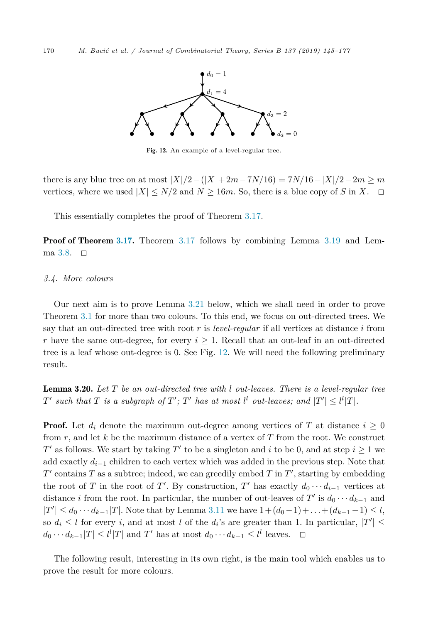<span id="page-25-0"></span>

Fig. 12. An example of a level-regular tree.

there is any blue tree on at most  $|X|/2 - (|X|+2m-7N/16) = 7N/16 - |X|/2 - 2m \ge m$ vertices, where we used  $|X| \leq N/2$  and  $N \geq 16m$ . So, there is a blue copy of *S* in *X*.  $\Box$ 

This essentially completes the proof of Theorem [3.17.](#page-23-0)

**Proof of Theorem [3.17.](#page-23-0)** Theorem [3.17](#page-23-0) follows by combining Lemma [3.19](#page-24-0) and Lem-ma [3.8.](#page-15-0)  $\Box$ 

#### *3.4. More colours*

Our next aim is to prove Lemma [3.21](#page-26-0) below, which we shall need in order to prove Theorem [3.1](#page-11-0) for more than two colours. To this end, we focus on out-directed trees. We say that an out-directed tree with root *r* is *level-regular* if all vertices at distance *i* from *r* have the same out-degree, for every  $i \geq 1$ . Recall that an out-leaf in an out-directed tree is a leaf whose out-degree is 0. See Fig. 12. We will need the following preliminary result.

Lemma 3.20. *Let T be an out-directed tree with l out-leaves. There is a level-regular tree*  $T'$  such that  $T$  is a subgraph of  $T'; T'$  has at most  $l^l$  out-leaves; and  $|T'| \leq l^l |T|$ .

**Proof.** Let  $d_i$  denote the maximum out-degree among vertices of *T* at distance  $i \geq 0$ from *r*, and let *k* be the maximum distance of a vertex of *T* from the root. We construct *T'* as follows. We start by taking *T'* to be a singleton and *i* to be 0, and at step  $i \geq 1$  we add exactly *d<sup>i</sup>*−<sup>1</sup> children to each vertex which was added in the previous step. Note that  $T'$  contains  $T$  as a subtree; indeed, we can greedily embed  $T$  in  $T'$ , starting by embedding the root of *T* in the root of *T*'. By construction, *T*' has exactly  $d_0 \cdots d_{i-1}$  vertices at distance *i* from the root. In particular, the number of out-leaves of  $T'$  is  $d_0 \cdots d_{k-1}$  and  $|T'|$  ≤ *d*<sub>0</sub> ···*d*<sub>*k*−1</sub>|*T*|. Note that by Lemma [3.11](#page-16-0) we have  $1 + (d_0 - 1) + ... + (d_{k-1} - 1) \le l$ , so  $d_i \leq l$  for every *i*, and at most *l* of the  $d_i$ 's are greater than 1. In particular,  $|T'| \leq$  $d_0 \cdots d_{k-1} |T| \le l^l |T|$  and *T'* has at most  $d_0 \cdots d_{k-1} \le l^l$  leaves. 
◯

The following result, interesting in its own right, is the main tool which enables us to prove the result for more colours.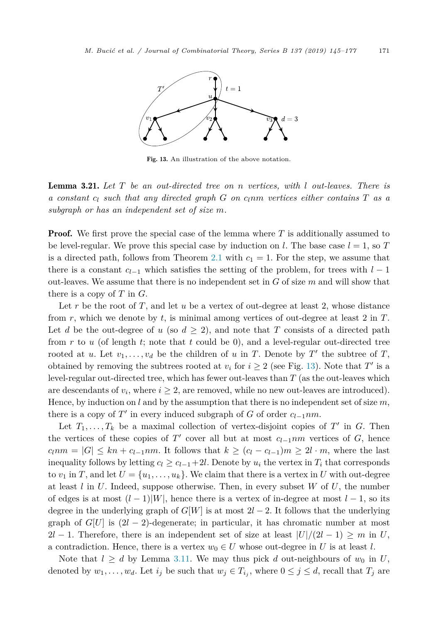<span id="page-26-0"></span>

Fig. 13. An illustration of the above notation.

Lemma 3.21. *Let T be an out-directed tree on n vertices, with l out-leaves. There is a constant c<sup>l</sup> such that any directed graph G on clnm vertices either contains T as a subgraph or has an independent set of size m.*

**Proof.** We first prove the special case of the lemma where T is additionally assumed to be level-regular. We prove this special case by induction on *l*. The base case  $l = 1$ , so *T* is a directed path, follows from Theorem [2.1](#page-4-0) with  $c_1 = 1$ . For the step, we assume that there is a constant  $c_{l-1}$  which satisfies the setting of the problem, for trees with  $l-1$ out-leaves. We assume that there is no independent set in *G* of size *m* and will show that there is a copy of *T* in *G*.

Let r be the root of T, and let u be a vertex of out-degree at least 2, whose distance from *r*, which we denote by *t*, is minimal among vertices of out-degree at least 2 in *T*. Let *d* be the out-degree of *u* (so  $d \geq 2$ ), and note that *T* consists of a directed path from *r* to *u* (of length *t*; note that *t* could be 0), and a level-regular out-directed tree rooted at *u*. Let  $v_1, \ldots, v_d$  be the children of *u* in *T*. Denote by *T'* the subtree of *T*, obtained by removing the subtrees rooted at  $v_i$  for  $i \geq 2$  (see Fig. 13). Note that *T'* is a level-regular out-directed tree, which has fewer out-leaves than *T* (as the out-leaves which are descendants of  $v_i$ , where  $i \geq 2$ , are removed, while no new out-leaves are introduced). Hence, by induction on  $l$  and by the assumption that there is no independent set of size  $m$ , there is a copy of  $T'$  in every induced subgraph of  $G$  of order  $c_{l-1}nm$ .

Let  $T_1, \ldots, T_k$  be a maximal collection of vertex-disjoint copies of  $T'$  in  $G$ . Then the vertices of these copies of *T'* cover all but at most  $c_{l-1}$ *nm* vertices of *G*, hence  $c_l$ *nm* =  $|G| \leq kn + c_{l-1}$ *nm*. It follows that  $k \geq (c_l - c_{l-1})$ *m* ≥ 2*l* · *m*, where the last inequality follows by letting  $c_l \geq c_{l-1}+2l$ . Denote by  $u_i$  the vertex in  $T_i$  that corresponds to  $v_1$  in T, and let  $U = \{u_1, \ldots, u_k\}$ . We claim that there is a vertex in U with out-degree at least *l* in *U*. Indeed, suppose otherwise. Then, in every subset *W* of *U*, the number of edges is at most  $(l-1)|W|$ , hence there is a vertex of in-degree at most  $l-1$ , so its degree in the underlying graph of  $G[W]$  is at most  $2l-2$ . It follows that the underlying graph of  $G[U]$  is  $(2l - 2)$ -degenerate; in particular, it has chromatic number at most 2*l* − 1. Therefore, there is an independent set of size at least  $|U|/(2l-1) \geq m$  in *U*, a contradiction. Hence, there is a vertex  $w_0 \in U$  whose out-degree in *U* is at least *l*.

Note that  $l \geq d$  by Lemma [3.11.](#page-16-0) We may thus pick *d* out-neighbours of  $w_0$  in *U*, denoted by  $w_1, \ldots, w_d$ . Let  $i_j$  be such that  $w_j \in T_{i_j}$ , where  $0 \leq j \leq d$ , recall that  $T_j$  are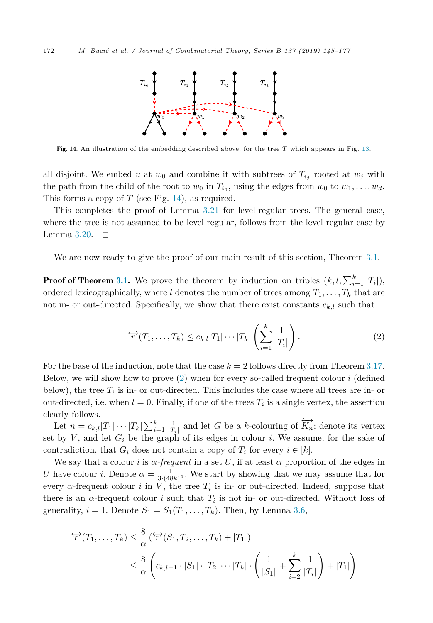

Fig. 14. An illustration of the embedding described above, for the tree *T* which appears in Fig. [13.](#page-26-0)

all disjoint. We embed *u* at  $w_0$  and combine it with subtrees of  $T_{i_j}$  rooted at  $w_j$  with the path from the child of the root to  $w_0$  in  $T_{i_0}$ , using the edges from  $w_0$  to  $w_1, \ldots, w_d$ . This forms a copy of *T* (see Fig. 14), as required.

This completes the proof of Lemma [3.21](#page-26-0) for level-regular trees. The general case, where the tree is not assumed to be level-regular, follows from the level-regular case by Lemma  $3.20.$   $\Box$ 

We are now ready to give the proof of our main result of this section, Theorem [3.1.](#page-11-0)

**Proof of Theorem [3.1.](#page-11-0)** We prove the theorem by induction on triples  $(k, l, \sum_{i=1}^{k} |T_i|)$ , ordered lexicographically, where *l* denotes the number of trees among  $T_1, \ldots, T_k$  that are not in- or out-directed. Specifically, we show that there exist constants  $c_{k,l}$  such that

$$
\overleftrightarrow{r}(T_1,\ldots,T_k) \le c_{k,l}|T_1|\cdots|T_k|\left(\sum_{i=1}^k\frac{1}{|T_i|}\right).
$$
\n(2)

For the base of the induction, note that the case  $k = 2$  follows directly from Theorem [3.17.](#page-23-0) Below, we will show how to prove (2) when for every so-called frequent colour *i* (defined below), the tree  $T_i$  is in- or out-directed. This includes the case where all trees are in- or out-directed, i.e. when  $l = 0$ . Finally, if one of the trees  $T_i$  is a single vertex, the assertion clearly follows.

Let  $n = c_{k,l}|T_1| \cdots |T_k| \sum_{i=1}^k \frac{1}{|T_i|}$  and let *G* be a *k*-colouring of  $\overleftrightarrow{K_n}$ ; denote its vertex set by *V* , and let *G<sup>i</sup>* be the graph of its edges in colour *i*. We assume, for the sake of contradiction, that  $G_i$  does not contain a copy of  $T_i$  for every  $i \in [k]$ .

We say that a colour *i* is  $\alpha$ -frequent in a set U, if at least  $\alpha$  proportion of the edges in *U* have colour *i*. Denote  $\alpha = \frac{1}{3(48k)^2}$ . We start by showing that we may assume that for every  $\alpha$ -frequent colour *i* in *V*, the tree  $T_i$  is in- or out-directed. Indeed, suppose that there is an  $\alpha$ -frequent colour *i* such that  $T_i$  is not in- or out-directed. Without loss of generality,  $i = 1$ . Denote  $S_1 = S_1(T_1, \ldots, T_k)$ . Then, by Lemma [3.6,](#page-14-0)

$$
\begin{aligned} \n\overleftrightarrow{r}(T_1, \dots, T_k) &\leq \frac{8}{\alpha} \left( \overleftrightarrow{r}(S_1, T_2, \dots, T_k) + |T_1| \right) \\ \n&\leq \frac{8}{\alpha} \left( c_{k, l-1} \cdot |S_1| \cdot |T_2| \cdots |T_k| \cdot \left( \frac{1}{|S_1|} + \sum_{i=2}^k \frac{1}{|T_i|} \right) + |T_1| \right) \n\end{aligned}
$$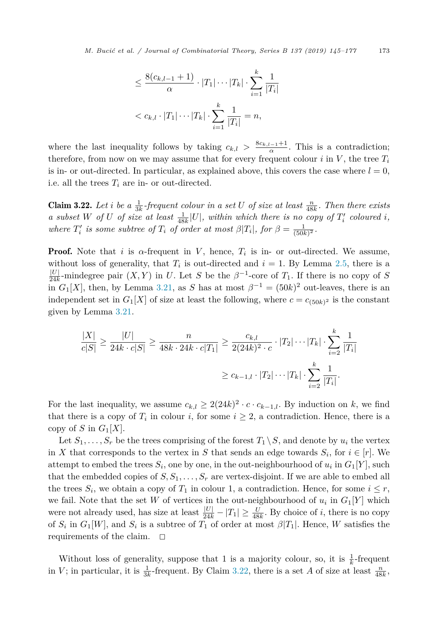$$
\leq \frac{8(c_{k,l-1}+1)}{\alpha} \cdot |T_1| \cdots |T_k| \cdot \sum_{i=1}^k \frac{1}{|T_i|}
$$
  
<  $c_{k,l} \cdot |T_1| \cdots |T_k| \cdot \sum_{i=1}^k \frac{1}{|T_i|} = n$ ,

<span id="page-28-0"></span>where the last inequality follows by taking  $c_{k,l} > \frac{8c_{k,l-1}+1}{\alpha}$ . This is a contradiction; therefore, from now on we may assume that for every frequent colour  $i$  in  $V$ , the tree  $T_i$ is in- or out-directed. In particular, as explained above, this covers the case where  $l = 0$ , i.e. all the trees  $T_i$  are in- or out-directed.

**Claim 3.22.** Let i be a  $\frac{1}{3k}$ -frequent colour in a set U of size at least  $\frac{n}{48k}$ . Then there exists a subset W of U of size at least  $\frac{1}{48k}|U|$ , within which there is no copy of  $T'_i$  coloured i, *where*  $T_i'$  *is some subtree of*  $T_i$  *of order at most*  $\beta |T_i|$ *, for*  $\beta = \frac{1}{(50k)^2}$ *.* 

**Proof.** Note that *i* is  $\alpha$ -frequent in *V*, hence,  $T_i$  is in- or out-directed. We assume, without loss of generality, that  $T_i$  is out-directed and  $i = 1$ . By Lemma [2.5,](#page-5-0) there is a  $\frac{|U|}{24k}$ -mindegree pair  $(X, Y)$  in *U*. Let *S* be the  $\beta^{-1}$ -core of  $T_1$ . If there is no copy of *S* in  $G_1[X]$ , then, by Lemma [3.21,](#page-26-0) as *S* has at most  $\beta^{-1} = (50k)^2$  out-leaves, there is an independent set in  $G_1[X]$  of size at least the following, where  $c = c_{(50k)^2}$  is the constant given by Lemma [3.21.](#page-26-0)

$$
\frac{|X|}{c|S|} \ge \frac{|U|}{24k \cdot c|S|} \ge \frac{n}{48k \cdot 24k \cdot c|T_1|} \ge \frac{c_{k,l}}{2(24k)^2 \cdot c} \cdot |T_2| \cdots |T_k| \cdot \sum_{i=2}^k \frac{1}{|T_i|}
$$

$$
\ge c_{k-1,l} \cdot |T_2| \cdots |T_k| \cdot \sum_{i=2}^k \frac{1}{|T_i|}.
$$

For the last inequality, we assume  $c_{k,l} \geq 2(24k)^2 \cdot c \cdot c_{k-1,l}$ . By induction on *k*, we find that there is a copy of  $T_i$  in colour *i*, for some  $i \geq 2$ , a contradiction. Hence, there is a copy of *S* in  $G_1[X]$ .

Let  $S_1, \ldots, S_r$  be the trees comprising of the forest  $T_1 \backslash S$ , and denote by  $u_i$  the vertex in *X* that corresponds to the vertex in *S* that sends an edge towards  $S_i$ , for  $i \in [r]$ . We attempt to embed the trees  $S_i$ , one by one, in the out-neighbourhood of  $u_i$  in  $G_1[Y]$ , such that the embedded copies of  $S, S_1, \ldots, S_r$  are vertex-disjoint. If we are able to embed all the trees  $S_i$ , we obtain a copy of  $T_1$  in colour 1, a contradiction. Hence, for some  $i \leq r$ , we fail. Note that the set *W* of vertices in the out-neighbourhood of  $u_i$  in  $G_1[Y]$  which were not already used, has size at least  $\frac{|U|}{24k} - |T_1| \ge \frac{U}{48k}$ . By choice of *i*, there is no copy of  $S_i$  in  $G_1[W]$ , and  $S_i$  is a subtree of  $T_1$  of order at most  $\beta[T_1]$ . Hence, *W* satisfies the requirements of the claim.  $\square$ 

Without loss of generality, suppose that 1 is a majority colour, so, it is  $\frac{1}{k}$ -frequent in *V*; in particular, it is  $\frac{1}{3k}$ -frequent. By Claim 3.22, there is a set *A* of size at least  $\frac{n}{48k}$ ,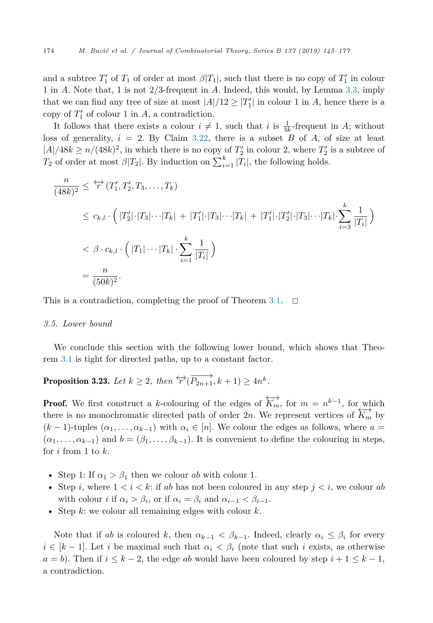<span id="page-29-0"></span>and a subtree  $T_1'$  of  $T_1$  of order at most  $\beta|T_1|$ , such that there is no copy of  $T_1'$  in colour 1 in *A*. Note that, 1 is not 2*/*3-frequent in *A*. Indeed, this would, by Lemma [3.3,](#page-12-0) imply that we can find any tree of size at most  $|A|/12 \geq |T'_1|$  in colour 1 in *A*, hence there is a copy of  $T_1'$  of colour 1 in  $A$ , a contradiction.

It follows that there exists a colour  $i \neq 1$ , such that *i* is  $\frac{1}{3k}$ -frequent in *A*; without loss of generality,  $i = 2$ . By Claim [3.22,](#page-28-0) there is a subset *B* of *A*, of size at least  $|A|/48k \ge n/(48k)^2$ , in which there is no copy of  $T_2'$  in colour 2, where  $T_2'$  is a subtree of *T*<sub>2</sub> of order at most  $\beta|T_2|$ . By induction on  $\sum_{i=1}^{k} |T_i|$ , the following holds.

$$
\frac{n}{(48k)^2} \leq \overleftrightarrow{r} (T_1', T_2', T_3, \dots, T_k)
$$
\n
$$
\leq c_{k,l} \cdot \left( |T_2'| \cdot |T_3| \cdots |T_k| + |T_1'| \cdot |T_3| \cdots |T_k| + |T_1'| \cdot |T_2'| \cdot |T_3| \cdots |T_k| \cdot \sum_{i=3}^k \frac{1}{|T_i|} \right)
$$
\n
$$
< \beta \cdot c_{k,l} \cdot \left( |T_1| \cdots |T_k| \cdot \sum_{i=1}^k \frac{1}{|T_i|} \right)
$$
\n
$$
= \frac{n}{(50k)^2}.
$$

This is a contradiction, completing the proof of Theorem [3.1.](#page-11-0)

## *3.5. Lower bound*

We conclude this section with the following lower bound, which shows that Theorem [3.1](#page-11-0) is tight for directed paths, up to a constant factor.

**Proposition 3.23.** Let  $k \geq 2$ , then  $\overleftrightarrow{r}(\overrightarrow{P_{2n+1}}, k+1) \geq 4n^k$ .

**Proof.** We first construct a *k*-colouring of the edges of  $\overleftrightarrow{K_m}$ , for  $m = n^{k-1}$ , for which there is no monochromatic directed path of order 2*n*. We represent vertices of  $\overleftrightarrow{K_m}$  by  $(k-1)$ -tuples  $(\alpha_1, \ldots, \alpha_{k-1})$  with  $\alpha_i \in [n]$ . We colour the edges as follows, where  $a =$  $(\alpha_1, \ldots, \alpha_{k-1})$  and  $b = (\beta_1, \ldots, \beta_{k-1})$ . It is convenient to define the colouring in steps, for *i* from 1 to *k*.

- Step 1: If  $\alpha_1 > \beta_1$  then we colour *ab* with colour 1.
- Step *i*, where  $1 < i < k$ : if *ab* has not been coloured in any step  $j < i$ , we colour *ab* with colour *i* if  $\alpha_i > \beta_i$ , or if  $\alpha_i = \beta_i$  and  $\alpha_{i-1} < \beta_{i-1}$ .
- Step *k*: we colour all remaining edges with colour *k*.

Note that if *ab* is coloured *k*, then  $\alpha_{k-1} < \beta_{k-1}$ . Indeed, clearly  $\alpha_i \leq \beta_i$  for every  $i \in [k-1]$ . Let *i* be maximal such that  $\alpha_i < \beta_i$  (note that such *i* exists, as otherwise  $a = b$ ). Then if  $i \leq k - 2$ , the edge *ab* would have been coloured by step  $i + 1 \leq k - 1$ , a contradiction.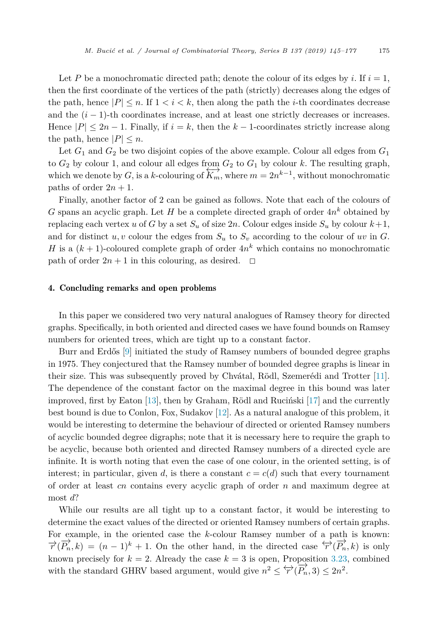<span id="page-30-0"></span>Let P be a monochromatic directed path; denote the colour of its edges by *i*. If  $i = 1$ , then the first coordinate of the vertices of the path (strictly) decreases along the edges of the path, hence  $|P| \le n$ . If  $1 \le i \le k$ , then along the path the *i*-th coordinates decrease and the  $(i - 1)$ -th coordinates increase, and at least one strictly decreases or increases. Hence  $|P| \leq 2n - 1$ . Finally, if  $i = k$ , then the  $k - 1$ -coordinates strictly increase along the path, hence  $|P| \leq n$ .

Let  $G_1$  and  $G_2$  be two disjoint copies of the above example. Colour all edges from  $G_1$ to  $G_2$  by colour 1, and colour all edges from  $G_2$  to  $G_1$  by colour  $k$ . The resulting graph, which we denote by *G*, is a *k*-colouring of  $\overleftrightarrow{K_m}$ , where  $m = 2n^{k-1}$ , without monochromatic paths of order  $2n + 1$ .

Finally, another factor of 2 can be gained as follows. Note that each of the colours of *G* spans an acyclic graph. Let *H* be a complete directed graph of order  $4n^k$  obtained by replacing each vertex *u* of *G* by a set  $S_u$  of size  $2n$ . Colour edges inside  $S_u$  by colour  $k+1$ , and for distinct  $u, v$  colour the edges from  $S_u$  to  $S_v$  according to the colour of  $uv$  in  $G$ . *H* is a  $(k + 1)$ -coloured complete graph of order  $4n^k$  which contains no monochromatic path of order  $2n + 1$  in this colouring, as desired.  $\Box$ 

# 4. Concluding remarks and open problems

In this paper we considered two very natural analogues of Ramsey theory for directed graphs. Specifically, in both oriented and directed cases we have found bounds on Ramsey numbers for oriented trees, which are tight up to a constant factor.

Burr and Erdős [\[9\]](#page-31-0) initiated the study of Ramsey numbers of bounded degree graphs in 1975. They conjectured that the Ramsey number of bounded degree graphs is linear in their size. This was subsequently proved by Chvátal, Rödl, Szemerédi and Trotter [\[11\]](#page-32-0). The dependence of the constant factor on the maximal degree in this bound was later improved, first by Eaton [\[13\]](#page-32-0), then by Graham, Rödl and Ruciński [\[17\]](#page-32-0) and the currently best bound is due to Conlon, Fox, Sudakov [\[12\]](#page-32-0). As a natural analogue of this problem, it would be interesting to determine the behaviour of directed or oriented Ramsey numbers of acyclic bounded degree digraphs; note that it is necessary here to require the graph to be acyclic, because both oriented and directed Ramsey numbers of a directed cycle are infinite. It is worth noting that even the case of one colour, in the oriented setting, is of interest; in particular, given *d*, is there a constant  $c = c(d)$  such that every tournament of order at least *cn* contains every acyclic graph of order *n* and maximum degree at most *d*?

While our results are all tight up to a constant factor, it would be interesting to determine the exact values of the directed or oriented Ramsey numbers of certain graphs. For example, in the oriented case the *k*-colour Ramsey number of a path is known:  $\overrightarrow{r}(\overrightarrow{P_n},k) = (n-1)^k + 1$ . On the other hand, in the directed case  $\overleftrightarrow{r}(\overrightarrow{P_n},k)$  is only known precisely for  $k = 2$ . Already the case  $k = 3$  is open, Proposition [3.23,](#page-29-0) combined with the standard GHRV based argument, would give  $n^2 \leq \overleftrightarrow{r}(\overrightarrow{P_n}, 3) \leq 2n^2$ .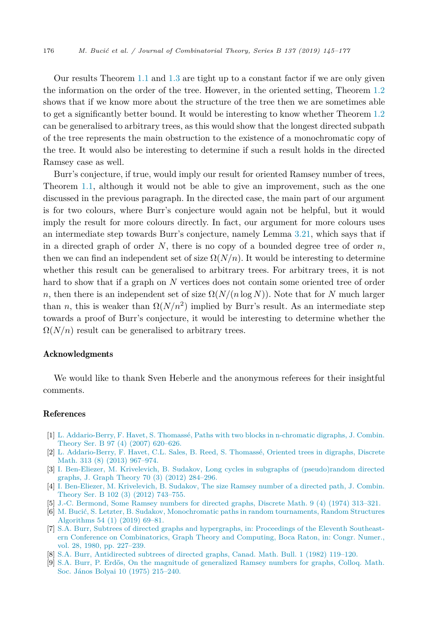<span id="page-31-0"></span>Our results Theorem [1.1](#page-2-0) and [1.3](#page-3-0) are tight up to a constant factor if we are only given the information on the order of the tree. However, in the oriented setting, Theorem [1.2](#page-3-0) shows that if we know more about the structure of the tree then we are sometimes able to get a significantly better bound. It would be interesting to know whether Theorem [1.2](#page-3-0) can be generalised to arbitrary trees, as this would show that the longest directed subpath of the tree represents the main obstruction to the existence of a monochromatic copy of the tree. It would also be interesting to determine if such a result holds in the directed Ramsey case as well.

Burr's conjecture, if true, would imply our result for oriented Ramsey number of trees, Theorem [1.1,](#page-2-0) although it would not be able to give an improvement, such as the one discussed in the previous paragraph. In the directed case, the main part of our argument is for two colours, where Burr's conjecture would again not be helpful, but it would imply the result for more colours directly. In fact, our argument for more colours uses an intermediate step towards Burr's conjecture, namely Lemma [3.21,](#page-26-0) which says that if in a directed graph of order *N*, there is no copy of a bounded degree tree of order *n*, then we can find an independent set of size  $\Omega(N/n)$ . It would be interesting to determine whether this result can be generalised to arbitrary trees. For arbitrary trees, it is not hard to show that if a graph on *N* vertices does not contain some oriented tree of order *n*, then there is an independent set of size  $\Omega(N/(n \log N))$ . Note that for *N* much larger than *n*, this is weaker than  $\Omega(N/n^2)$  implied by Burr's result. As an intermediate step towards a proof of Burr's conjecture, it would be interesting to determine whether the  $\Omega(N/n)$  result can be generalised to arbitrary trees.

#### Acknowledgments

We would like to thank Sven Heberle and the anonymous referees for their insightful comments.

### References

- [1] L. [Addario-Berry,](http://refhub.elsevier.com/S0095-8956(18)30126-6/bib6164646172696F2D6265727279303774776F2D626C6F636B73s1) F. Havet, S. Thomassé, Paths with two blocks in n-chromatic digraphs, J. Combin. Theory Ser. B 97 (4) (2007) [620–626.](http://refhub.elsevier.com/S0095-8956(18)30126-6/bib6164646172696F2D6265727279303774776F2D626C6F636B73s1)
- [2] L. [Addario-Berry,](http://refhub.elsevier.com/S0095-8956(18)30126-6/bib6164646172696F323031336F7269656E746564s1) F. Havet, C.L. Sales, B. Reed, S. Thomassé, Oriented trees in digraphs, Discrete Math. 313 (8) (2013) [967–974.](http://refhub.elsevier.com/S0095-8956(18)30126-6/bib6164646172696F323031336F7269656E746564s1)
- [3] I. Ben-Eliezer, M. Krivelevich, B. Sudakov, Long cycles in subgraphs of [\(pseudo\)random](http://refhub.elsevier.com/S0095-8956(18)30126-6/bib62656E323031326C6F6E672D6379636C6573s1) directed graphs, [J. Graph](http://refhub.elsevier.com/S0095-8956(18)30126-6/bib62656E323031326C6F6E672D6379636C6573s1) Theory 70 (3) (2012) 284–296.
- [4] I. [Ben-Eliezer,](http://refhub.elsevier.com/S0095-8956(18)30126-6/bib62656E3230313273697A65s1) M. Krivelevich, B. Sudakov, The size Ramsey number of a directed path, J. Combin. Theory Ser. B 102 (3) (2012) [743–755.](http://refhub.elsevier.com/S0095-8956(18)30126-6/bib62656E3230313273697A65s1)
- [5] J.-C. [Bermond,](http://refhub.elsevier.com/S0095-8956(18)30126-6/bib6265726D6F6E6431393734736F6D65s1) Some Ramsey numbers for directed graphs, Discrete Math. 9 (4) (1974) 313–321.
- [6] M. Bucić, S. Letzter, B. Sudakov, [Monochromatic](http://refhub.elsevier.com/S0095-8956(18)30126-6/bib70617468732D696E2D72616E646F6D2D746F75726E616D656E7473s1) paths in random tournaments, Random Structures [Algorithms](http://refhub.elsevier.com/S0095-8956(18)30126-6/bib70617468732D696E2D72616E646F6D2D746F75726E616D656E7473s1) 54 (1) (2019) 69–81.
- [7] S.A. Burr, Subtrees of directed graphs and [hypergraphs,](http://refhub.elsevier.com/S0095-8956(18)30126-6/bib62757272313938307375627472656573s1) in: Proceedings of the Eleventh Southeastern Conference on [Combinatorics,](http://refhub.elsevier.com/S0095-8956(18)30126-6/bib62757272313938307375627472656573s1) Graph Theory and Computing, Boca Raton, in: Congr. Numer., vol. 28, 1980, [pp. 227–239.](http://refhub.elsevier.com/S0095-8956(18)30126-6/bib62757272313938307375627472656573s1)
- [8] S.A. Burr, [Antidirected](http://refhub.elsevier.com/S0095-8956(18)30126-6/bib627572723832s1) subtrees of directed graphs, Canad. Math. Bull. 1 (1982) 119–120.
- [9] S.A. Burr, P. Erdős, On the magnitude of [generalized](http://refhub.elsevier.com/S0095-8956(18)30126-6/bib627572723733s1) Ramsey numbers for graphs, Colloq. Math. Soc. János Bolyai 10 (1975) [215–240.](http://refhub.elsevier.com/S0095-8956(18)30126-6/bib627572723733s1)